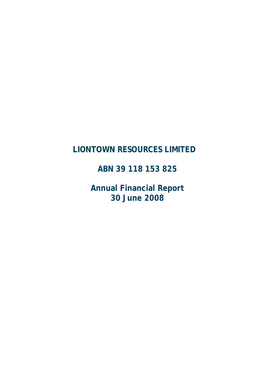# **LIONTOWN RESOURCES LIMITED**

**ABN 39 118 153 825** 

**Annual Financial Report 30 June 2008**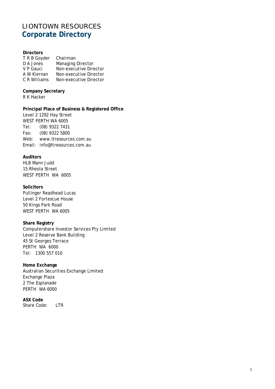# LIONTOWN RESOURCES **Corporate Directory**

## **Directors**

| T R B Goyder | Chairman               |
|--------------|------------------------|
| D A Jones    | Managing Director      |
| V P Gauci    | Non-executive Director |
| A W Kiernan  | Non-executive Director |
| C R Williams | Non-executive Director |

# **Company Secretary**

R K Hacker

## **Principal Place of Business & Registered Office**

Level 2 1292 Hay Street WEST PERTH WA 6005 Tel: (08) 9322 7431 Fax: (08) 9322 5800 Web: www.ltresources.com.au Email: info@ltresources.com.au

## **Auditors**

HLB Mann Judd 15 Rheola Street WEST PERTH WA 6005

## **Solicitors**

Pullinger Readhead Lucas Level 2 Fortescue House 50 Kings Park Road WEST PERTH WA 6005

## **Share Registry**

Computershare Investor Services Pty Limited Level 2 Reserve Bank Building 45 St Georges Terrace PERTH WA 6000 Tel: 1300 557 010

**Home Exchange**  Australian Securities Exchange Limited Exchange Plaza 2 The Esplanade PERTH WA 6000

**ASX Code**  Share Code: LTR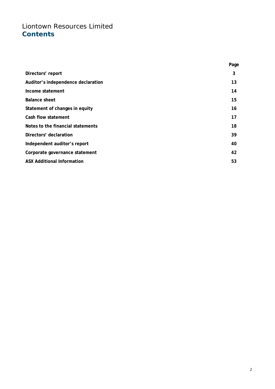# Liontown Resources Limited **Contents**

|                                    | Page |
|------------------------------------|------|
| Directors' report                  | 3    |
| Auditor's independence declaration | 13   |
| Income statement                   | 14   |
| <b>Balance sheet</b>               | 15   |
| Statement of changes in equity     | 16   |
| Cash flow statement                | 17   |
| Notes to the financial statements  | 18   |
| Directors' declaration             | 39   |
| Independent auditor's report       | 40   |
| Corporate governance statement     | 42   |
| <b>ASX Additional Information</b>  | 53   |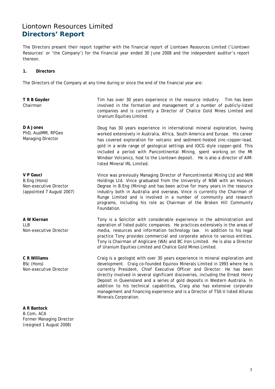The Directors present their report together with the financial report of Liontown Resources Limited ('Liontown Resources' or 'the Company') for the financial year ended 30 June 2008 and the independent auditor's report thereon.

#### **1. Directors**

The Directors of the Company at any time during or since the end of the financial year are:

**T R B Goyder**  Chairman Tim has over 30 years experience in the resource industry. Tim has been involved in the formation and management of a number of publicly-listed companies and is currently a Director of Chalice Gold Mines Limited and Uranium Equities Limited.

> Doug has 30 years experience in international mineral exploration, having worked extensively in Australia, Africa, South America and Europe. His career has covered exploration for volcanic and sediment-hosted zinc-copper-lead, gold in a wide range of geological settings and IOCG style copper-gold. This included a period with Pancontinental Mining, spent working on the Mt Windsor Volcanics, host to the Liontown deposit. He is also a director of AIMlisted Mineral IRL Limited.

> Vince was previously Managing Director of Pancontinental Mining Ltd and MIM Holdings Ltd. Vince graduated from the University of NSW with an Honours Degree in B.Eng (Mining) and has been active for many years in the resource industry both in Australia and overseas. Vince is currently the Chairman of Runge Limited and is involved in a number of community and research programs, including his role as Chairman of the Broken Hill Community Foundation.

> Tony is a Solicitor with considerable experience in the administration and operation of listed public companies. He practices extensively in the areas of media, resources and information technology law. In addition to his legal practice Tony provides commercial and corporate advice to various entities. Tony is Chairman of Anglicare (WA) and BC Iron Limited. He is also a Director of Uranium Equities Limited and Chalice Gold Mines Limited.

> Craig is a geologist with over 30 years experience in mineral exploration and development. Craig co-founded Equinox Minerals Limited in 1993 where he is currently President, Chief Executive Officer and Director. He has been directly involved in several significant discoveries, including the Ernest Henry Deposit in Queensland and a series of gold deposits in Western Australia. In addition to his technical capabilities, Craig also has extensive corporate management and financing experience and is a Director of TSX-V listed Alturas Minerals Corporation.

**D A Jones** PhD, AusIMM, RPGeo Managing Director

**V P Gauci**  B.Eng (Hons) Non-executive Director (appointed 7 August 2007)

**A W Kiernan**  LLB Non-executive Director

**C R Williams**  BSc (Hons) Non-executive Director

**A R Bantock**  B.Com, ACA Former Managing Director (resigned 1 August 2008)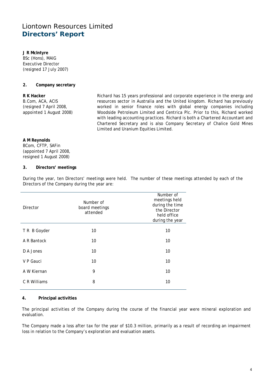**J R McIntyre**  BSc (Hons), MAIG Executive Director (resigned 17 July 2007)

## **2. Company secretary**

**R K Hacker**  B.Com, ACA, ACIS (resigned 7 April 2008, appointed 1 August 2008) Richard has 15 years professional and corporate experience in the energy and resources sector in Australia and the United kingdom. Richard has previously worked in senior finance roles with global energy companies including Woodside Petroleum Limited and Centrica Plc. Prior to this, Richard worked with leading accounting practices. Richard is both a Chartered Accountant and Chartered Secretary and is also Company Secretary of Chalice Gold Mines Limited and Uranium Equities Limited.

#### **A M Reynolds**

BCom, CFTP, SAFin (appointed 7 April 2008, resigned 1 August 2008)

## **3. Directors' meetings**

During the year, ten Directors' meetings were held. The number of these meetings attended by each of the Directors of the Company during the year are:

| Director     | Number of<br>board meetings<br>attended | Number of<br>meetings held<br>during the time<br>the Director<br>held office<br>during the year |
|--------------|-----------------------------------------|-------------------------------------------------------------------------------------------------|
| T R B Goyder | 10                                      | 10                                                                                              |
| A R Bantock  | 10                                      | 10                                                                                              |
| D A Jones    | 10                                      | 10                                                                                              |
| V P Gauci    | 10                                      | 10                                                                                              |
| A W Kiernan  | 9                                       | 10                                                                                              |
| C R Williams | 8                                       | 10                                                                                              |
|              |                                         |                                                                                                 |

## **4. Principal activities**

The principal activities of the Company during the course of the financial year were mineral exploration and evaluation.

The Company made a loss after tax for the year of \$10.3 million, primarily as a result of recording an impairment loss in relation to the Company's exploration and evaluation assets.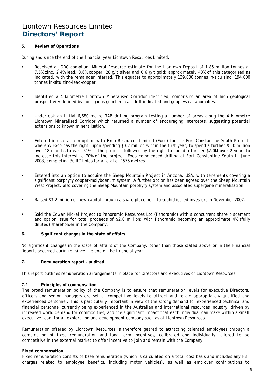## **5. Review of Operations**

During and since the end of the financial year Liontown Resources Limited:

- Received a JORC compliant Mineral Resource estimate for the Liontown Deposit of 1.85 million tonnes at 7.5% zinc, 2.4% lead, 0.6% copper, 28 g/t silver and 0.6 g/t gold; approximately 40% of this categorised as Indicated, with the remainder Inferred. This equates to approximately 139,000 tonnes in-situ zinc, 194,000 tonnes in-situ zinc-lead-copper.
- Identified a 4 kilometre Liontown Mineralised Corridor identified; comprising an area of high geological prospectivity defined by contiguous geochemical, drill indicated and geophysical anomalies.
- Undertook an initial 6,680 metre RAB drilling program testing a number of areas along the 4 kilometre Liontown Mineralised Corridor which returned a number of encouraging intercepts, suggesting potential extensions to known mineralisation.
- Entered into a farm-in option with Exco Resources Limited (Exco) for the Fort Constantine South Project, whereby Exco has the right, upon spending \$0.2 million within the first year, to spend a further \$1.0 million over 18 months to earn 51% of the project, followed by the right to spend a further \$2.0M over 2 years to increase this interest to 70% of the project. Exco commenced drilling at Fort Constantine South in June 2008, completing 30 RC holes for a total of 1576 metres.
- Entered into an option to acquire the Sheep Mountain Project in Arizona, USA; with tenements covering a significant porphyry copper-molybdenum system. A further option has been agreed over the Sheep Mountain West Project; also covering the Sheep Mountain porphyry system and associated supergene mineralisation.
- Raised \$3.2 million of new capital through a share placement to sophisticated investors in November 2007.
- Sold the Cowan Nickel Project to Panoramic Resources Ltd (Panoramic) with a concurrent share placement and option issue for total proceeds of \$2.0 million; with Panoramic becoming an approximate 4% (fully diluted) shareholder in the Company.

## **6. Significant changes in the state of affairs**

No significant changes in the state of affairs of the Company, other than those stated above or in the Financial Report, occurred during or since the end of the financial year.

## **7. Remuneration report - audited**

This report outlines remuneration arrangements in place for Directors and executives of Liontown Resources.

## **7.1 Principles of compensation**

The broad remuneration policy of the Company is to ensure that remuneration levels for executive Directors, officers and senior managers are set at competitive levels to attract and retain appropriately qualified and experienced personnel. This is particularly important in view of the strong demand for experienced technical and financial personnel currently being experienced in the Australian and international resources industry, driven by increased world demand for commodities, and the significant impact that each individual can make within a small executive team for an exploration and development company such as at Liontown Resources.

Remuneration offered by Liontown Resources is therefore geared to attracting talented employees through a combination of fixed remuneration and long term incentives, calibrated and individually tailored to be competitive in the external market to offer incentive to join and remain with the Company.

## **Fixed compensation**

Fixed remuneration consists of base remuneration (which is calculated on a total cost basis and includes any FBT charges related to employee benefits, including motor vehicles), as well as employer contributions to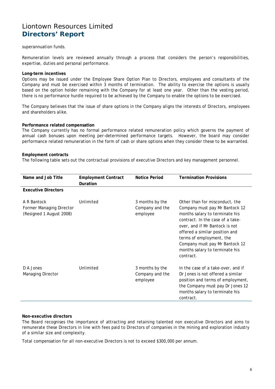## superannuation funds.

Remuneration levels are reviewed annually through a process that considers the person's responsibilities, expertise, duties and personal performance.

#### **Long-term incentives**

Options may be issued under the Employee Share Option Plan to Directors, employees and consultants of the Company and must be exercised within 3 months of termination. The ability to exercise the options is usually based on the option holder remaining with the Company for at least one year. Other than the vesting period, there is no performance hurdle required to be achieved by the Company to enable the options to be exercised.

The Company believes that the issue of share options in the Company aligns the interests of Directors, employees and shareholders alike.

## **Performance related compensation**

The Company currently has no formal performance related remuneration policy which governs the payment of annual cash bonuses upon meeting per-determined performance targets. However, the board may consider performance related remuneration in the form of cash or share options when they consider these to be warranted.

#### **Employment contracts**

The following table sets out the contractual provisions of executive Directors and key management personnel.

| Name and Job Title                                                  | <b>Employment Contract</b><br>Duration | Notice Period                                  | <b>Termination Provisions</b>                                                                                                                                                                                                                                                                                           |
|---------------------------------------------------------------------|----------------------------------------|------------------------------------------------|-------------------------------------------------------------------------------------------------------------------------------------------------------------------------------------------------------------------------------------------------------------------------------------------------------------------------|
| <b>Executive Directors</b>                                          |                                        |                                                |                                                                                                                                                                                                                                                                                                                         |
| A R Bantock<br>Former Managing Director<br>(Resigned 1 August 2008) | Unlimited                              | 3 months by the<br>Company and the<br>employee | Other than for misconduct, the<br>Company must pay Mr Bantock 12<br>months salary to terminate his<br>contract. In the case of a take-<br>over, and if Mr Bantock is not<br>offered a similar position and<br>terms of employment, the<br>Company must pay Mr Bantock 12<br>months salary to terminate his<br>contract. |
| D A Jones<br><b>Managing Director</b>                               | Unlimited                              | 3 months by the<br>Company and the<br>employee | In the case of a take-over, and if<br>Dr Jones is not offered a similar<br>position and terms of employment,<br>the Company must pay Dr Jones 12<br>months salary to terminate his<br>contract.                                                                                                                         |

#### **Non-executive directors**

The Board recognises the importance of attracting and retaining talented non executive Directors and aims to remunerate these Directors in line with fees paid to Directors of companies in the mining and exploration industry of a similar size and complexity.

Total compensation for all non-executive Directors is not to exceed \$300,000 per annum.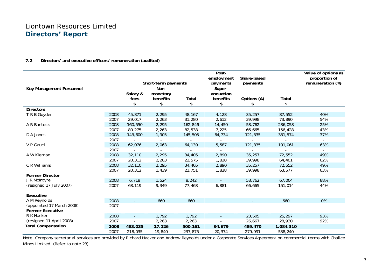## **7.2 Directors' and executive officers' remuneration (audited)**

|                           |      |                        | Short-term payments                |             | Post-<br>employment<br>payments       | Share-based<br>payments |             | Value of options as<br>proportion of<br>remuneration (%) |
|---------------------------|------|------------------------|------------------------------------|-------------|---------------------------------------|-------------------------|-------------|----------------------------------------------------------|
| Key Management Personnel  |      | Salary &<br>fees<br>\$ | Non-<br>monetary<br>benefits<br>\$ | Total<br>\$ | Super-<br>annuation<br>benefits<br>\$ | Options (A)<br>\$       | Total<br>\$ |                                                          |
| <b>Directors</b>          |      |                        |                                    |             |                                       |                         |             |                                                          |
| T R B Goyder              | 2008 | 45,871                 | 2,295                              | 48,167      | 4,128                                 | 35,257                  | 87,552      | 40%                                                      |
|                           | 2007 | 29,017                 | 2,263                              | 31,280      | 2,612                                 | 39,998                  | 73,890      | 54%                                                      |
| A R Bantock               | 2008 | 160,550                | 2,295                              | 162,846     | 14,450                                | 58,762                  | 236,058     | 25%                                                      |
|                           | 2007 | 80,275                 | 2,263                              | 82,538      | 7,225                                 | 66,665                  | 156,428     | 43%                                                      |
| D A Jones                 | 2008 | 143,600                | 1,905                              | 145,505     | 64,734                                | 121,335                 | 331,574     | 37%                                                      |
|                           | 2007 |                        | $\blacksquare$                     |             | $\sim$                                |                         |             | $\sim$                                                   |
| V P Gauci                 | 2008 | 62,076                 | 2,063                              | 64,139      | 5,587                                 | 121,335                 | 191,061     | 63%                                                      |
|                           | 2007 |                        |                                    |             |                                       |                         |             |                                                          |
| A W Kiernan               | 2008 | 32,110                 | 2,295                              | 34,405      | 2,890                                 | 35,257                  | 72,552      | 49%                                                      |
|                           | 2007 | 20,312                 | 2,263                              | 22,575      | 1,828                                 | 39,998                  | 64,401      | 62%                                                      |
| C R Williams              | 2008 | 32,110                 | 2,295                              | 34,405      | 2,890                                 | 35,257                  | 72,552      | 49%                                                      |
|                           | 2007 | 20,312                 | 1,439                              | 21,751      | 1,828                                 | 39,998                  | 63,577      | 63%                                                      |
| <b>Former Director</b>    |      |                        |                                    |             |                                       |                         |             |                                                          |
| J R McIntyre              | 2008 | 6,718                  | 1,524                              | 8,242       | $\sim$                                | 58,762                  | 67,004      | 88%                                                      |
| (resigned 17 July 2007)   | 2007 | 68,119                 | 9,349                              | 77,468      | 6,881                                 | 66,665                  | 151,014     | 44%                                                      |
|                           |      |                        |                                    |             |                                       |                         |             |                                                          |
| Executive                 |      |                        |                                    |             |                                       |                         |             |                                                          |
| A M Reynolds              | 2008 |                        | 660                                | 660         |                                       |                         | 660         | 0%                                                       |
| (appointed 17 March 2008) | 2007 |                        |                                    |             |                                       |                         |             | $\overline{\phantom{a}}$                                 |
| <b>Former Executive</b>   |      |                        |                                    |             |                                       |                         |             |                                                          |
| R K Hacker                | 2008 |                        | 1,792                              | 1,792       |                                       | 23,505                  | 25,297      | 93%                                                      |
| (resigned 11 April 2008)  | 2007 |                        | 2,263                              | 2,263       |                                       | 26,667                  | 28,930      | 92%                                                      |
| <b>Total Compensation</b> | 2008 | 483,035                | 17,126                             | 500,161     | 94,679                                | 489,470                 | 1,084,310   |                                                          |
|                           | 2007 | 218,035                | 19,840                             | 237,875     | 20,374                                | 279,991                 | 538,240     |                                                          |

Note: Company secretarial services are provided by Richard Hacker and Andrew Reynolds under a Corporate Services Agreement on commercial terms with Chalice Mines Limited. (Refer to note 23)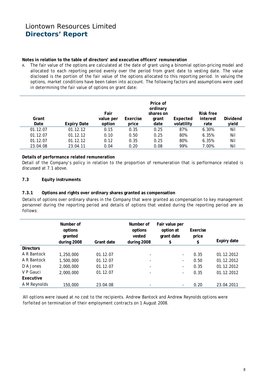## **Notes in relation to the table of directors' and executive officers' remuneration**

A. The fair value of the options are calculated at the date of grant using a binomial option-pricing model and allocated to each reporting period evenly over the period from grant date to vesting date. The value disclosed is the portion of the fair value of the options allocated to this reporting period. In valuing the options, market conditions have been taken into account. The following factors and assumptions were used in determining the fair value of options on grant date:

| Grant<br>Date | <b>Expiry Date</b> | Fair<br>value per<br>option | Exercise<br>price | Price of<br>ordinary<br>shares on<br>grant<br>date | Expected<br>volatility | <b>Risk free</b><br>interest<br>rate | Dividend<br>yield |
|---------------|--------------------|-----------------------------|-------------------|----------------------------------------------------|------------------------|--------------------------------------|-------------------|
| 01.12.07      | 01.12.12           | 0.15                        | 0.35              | 0.25                                               | 87%                    | 6.30%                                | Nil               |
| 01.12.07      | 01.12.12           | 0.10                        | 0.50              | 0.25                                               | 80%                    | 6.35%                                | Nil               |
| 01.12.07      | 01.12.12           | 0.12                        | 0.35              | 0.25                                               | 80%                    | 6.35%                                | Nil               |
| 23.04.08      | 23.04.11           | 0.04                        | 0.20              | 0.08                                               | 99%                    | 7.00%                                | Nil               |

## **Details of performance related remuneration**

Detail of the Company's policy in relation to the proportion of remuneration that is performance related is discussed at 7.1 above.

## **7.3 Equity instruments**

## **7.3.1 Options and rights over ordinary shares granted as compensation**

Details of options over ordinary shares in the Company that were granted as compensation to key management personnel during the reporting period and details of options that vested during the reporting period are as follows:

|                  | Number of<br>options<br>granted<br>during 2008 | Grant date | Number of<br>options<br>vested<br>during 2008 | Fair value per<br>option at<br>grant date<br>\$ | Exercise<br>price<br>\$ | <b>Expiry date</b> |
|------------------|------------------------------------------------|------------|-----------------------------------------------|-------------------------------------------------|-------------------------|--------------------|
| <b>Directors</b> |                                                |            |                                               |                                                 |                         |                    |
| A R Bantock      | 1,250,000                                      | 01.12.07   | $\overline{\phantom{0}}$                      | Ξ.                                              | 0.35                    | 01.12.2012         |
| A R Bantock      | 1,500,000                                      | 01.12.07   |                                               | Ξ.                                              | 0.50                    | 01.12.2012         |
| D A Jones        | 2,000,000                                      | 01.12.07   |                                               | Ξ.                                              | 0.35                    | 01.12.2012         |
| V P Gauci        | 2,000,000                                      | 01.12.07   |                                               | -                                               | 0.35                    | 01.12.2012         |
| <b>Fxecutive</b> |                                                |            |                                               |                                                 |                         |                    |
| A M Reynolds     | 150,000                                        | 23.04.08   |                                               |                                                 | 0.20                    | 23.04.2011         |

All options were issued at no cost to the recipients. Andrew Bantock and Andrew Reynolds options were forfeited on termination of their employment contracts on 1 August 2008.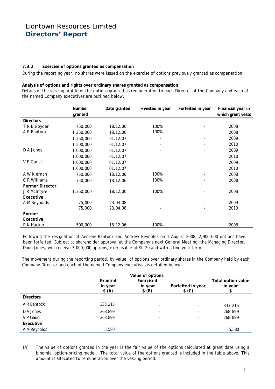## **7.3.2 Exercise of options granted as compensation**

During the reporting year, no shares were issued on the exercise of options previously granted as compensation.

#### **Analysis of options and rights over ordinary shares granted as compensation**

Details of the vesting profile of the options granted as remuneration to each Director of the Company and each of the named Company executives are outlined below.

|                        | Number    | Date granted | % vested in year         | Forfeited in year | Financial year in |
|------------------------|-----------|--------------|--------------------------|-------------------|-------------------|
|                        | granted   |              |                          |                   | which grant vests |
| <b>Directors</b>       |           |              |                          |                   |                   |
| T R B Goyder           | 750,000   | 18.12.06     | 100%                     |                   | 2008              |
| A R Bantock            | 1,250,000 | 18.12.06     | 100%                     |                   | 2008              |
|                        | 1,250,000 | 01.12.07     |                          |                   | 2009              |
|                        | 1,500,000 | 01.12.07     | $\overline{\phantom{a}}$ | -                 | 2010              |
| D A Jones              | 1,000,000 | 01.12.07     |                          |                   | 2009              |
|                        | 1,000,000 | 01.12.07     |                          |                   | 2010              |
| V P Gauci              | 1,000,000 | 01.12.07     |                          |                   | 2009              |
|                        | 1,000,000 | 01.12.07     |                          |                   | 2010              |
| A W Kiernan            | 750,000   | 18.12.06     | 100%                     |                   | 2008              |
| C R Williams           | 750,000   | 18.12.06     | 100%                     |                   | 2008              |
| <b>Former Director</b> |           |              |                          |                   |                   |
| J R McIntyre           | 1,250,000 | 18.12.06     | 100%                     |                   | 2008              |
| Executive              |           |              |                          |                   |                   |
| A M Reynolds           | 75,000    | 23.04.08     |                          |                   | 2009              |
|                        | 75,000    | 23.04.08     |                          |                   | 2010              |
| Former                 |           |              |                          |                   |                   |
| Executive              |           |              |                          |                   |                   |
| R K Hacker             | 500,000   | 18.12.06     | 100%                     |                   | 2008              |

Following the resignation of Andrew Bantock and Andrew Reynolds on 1 August 2008, 2,900,000 options have been forfeited. Subject to shareholder approval at the Company's next General Meeting, the Managing Director, Doug Jones, will receive 3,000,000 options, exercisable at \$0.20 and with a five year term.

The movement during the reporting period, by value, of options over ordinary shares in the Company held by each Company Director and each of the named Company executives is detailed below.

|                  | Granted<br>in year<br>\$ (A) | Value of options<br>Exercised<br>in year<br>\$ (B) | Forfeited in year<br>\$ (C) | <b>Total option value</b><br>in year<br>\$ |
|------------------|------------------------------|----------------------------------------------------|-----------------------------|--------------------------------------------|
| <b>Directors</b> |                              |                                                    |                             |                                            |
| A R Bantock      | 333,215                      |                                                    | $\overline{\phantom{a}}$    | 333,215                                    |
| D A Jones        | 268,899                      |                                                    | ۰                           | 268,899                                    |
| V P Gauci        | 268,899                      |                                                    | -                           | 268,899                                    |
| Executive        |                              |                                                    |                             |                                            |
| A M Reynolds     | 5,580                        |                                                    | $\overline{\phantom{0}}$    | 5,580                                      |

(A) The value of options granted in the year is the fair value of the options calculated at grant date using a binomial option-pricing model. The total value of the options granted is included in the table above. This amount is allocated to remuneration over the vesting period.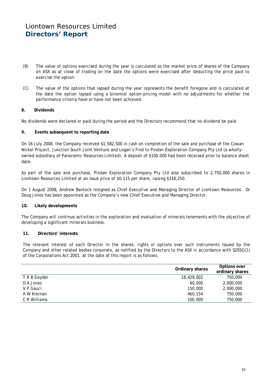- (B) The value of options exercised during the year is calculated as the market price of shares of the Company on ASX as at close of trading on the date the options were exercised after deducting the price paid to exercise the option.
- (C) The value of the options that lapsed during the year represents the benefit foregone and is calculated at the date the option lapsed using a binomial option-pricing model with no adjustments for whether the performance criteria have or have not been achieved.

## **8. Dividends**

No dividends were declared or paid during the period and the Directors recommend that no dividend be paid.

## **9. Events subsequent to reporting date**

On 16 July 2008, the Company received \$1,582,500 in cash on completion of the sale and purchase of the Cowan Nickel Project, Junction South Joint Venture and Logan's Find to Pindan Exploration Company Pty Ltd (a whollyowned subsidiary of Panoramic Resources Limited). A deposit of \$100,000 had been received prior to balance sheet date.

As part of the sale and purchase, Pindan Exploration Company Pty Ltd also subscribed to 2,750,000 shares in Liontown Resources Limited at an issue price of \$0.115 per share, raising \$316,250.

On 1 August 2008, Andrew Bantock resigned as Chief Executive and Managing Director of Liontown Resources. Dr Doug Jones has been appointed as the Company's new Chief Executive and Managing Director.

## **10. Likely developments**

The Company will continue activities in the exploration and evaluation of minerals tenements with the objective of developing a significant minerals business.

## **11. Directors' interests**

The relevant interest of each Director in the shares, rights or options over such instruments issued by the Company and other related bodies corporate, as notified by the Directors to the ASX in accordance with S205G(1) of the Corporations Act 2001, at the date of this report is as follows:

|              | Ordinary shares | Options over<br>ordinary shares |
|--------------|-----------------|---------------------------------|
| T R B Goyder | 18,429,002      | 750,000                         |
| D A Jones    | 60,000          | 2,000,000                       |
| V P Gauci    | 150,000         | 2,000,000                       |
| A W Kiernan  | 460.154         | 750,000                         |
| C R Williams | 100,000         | 750,000                         |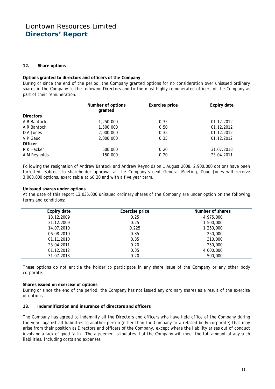## **12. Share options**

## **Options granted to directors and officers of the Company**

During or since the end of the period, the Company granted options for no consideration over unissued ordinary shares in the Company to the following Directors and to the most highly remunerated officers of the Company as part of their remuneration:

|                  | Number of options<br>granted | Exercise price | Expiry date |
|------------------|------------------------------|----------------|-------------|
| <b>Directors</b> |                              |                |             |
| A R Bantock      | 1,250,000                    | 0.35           | 01.12.2012  |
| A R Bantock      | 1,500,000                    | 0.50           | 01.12.2012  |
| D A Jones        | 2,000,000                    | 0.35           | 01.12.2012  |
| V P Gauci        | 2,000,000                    | 0.35           | 01.12.2012  |
| <b>Officer</b>   |                              |                |             |
| R K Hacker       | 500,000                      | 0.20           | 31.07.2013  |
| A M Reynolds     | 150,000                      | 0.20           | 23.04.2011  |

Following the resignation of Andrew Bantock and Andrew Reynolds on 1 August 2008, 2,900,000 options have been forfeited. Subject to shareholder approval at the Company's next General Meeting, Doug Jones will receive 3,000,000 options, exercisable at \$0.20 and with a five year term.

## **Unissued shares under options**

At the date of this report 13,035,000 unissued ordinary shares of the Company are under option on the following terms and conditions:

| Expiry date | Exercise price | Number of shares |
|-------------|----------------|------------------|
| 18.12.2009  | 0.25           | 4,975,000        |
| 31.12.2009  | 0.25           | 1,500,000        |
| 14.07.2010  | 0.225          | 1,250,000        |
| 06.08.2010  | 0.35           | 250,000          |
| 01.11.2010  | 0.35           | 310,000          |
| 23.04.2011  | 0.20           | 250,000          |
| 01.12.2012  | 0.35           | 4,000,000        |
| 31.07.2013  | 0.20           | 500,000          |

These options do not entitle the holder to participate in any share issue of the Company or any other body corporate.

## **Shares issued on exercise of options**

During or since the end of the period, the Company has not issued any ordinary shares as a result of the exercise of options.

## **13. Indemnification and insurance of directors and officers**

The Company has agreed to indemnify all the Directors and officers who have held office of the Company during the year, against all liabilities to another person (other than the Company or a related body corporate) that may arise from their position as Directors and officers of the Company, except where the liability arises out of conduct involving a lack of good faith. The agreement stipulates that the Company will meet the full amount of any such liabilities, including costs and expenses.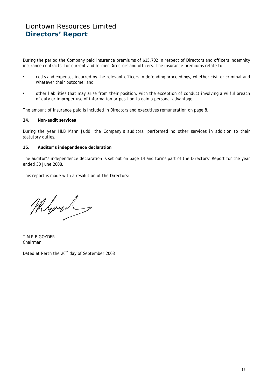During the period the Company paid insurance premiums of \$15,702 in respect of Directors and officers indemnity insurance contracts, for current and former Directors and officers. The insurance premiums relate to:

- costs and expenses incurred by the relevant officers in defending proceedings, whether civil or criminal and whatever their outcome; and
- other liabilities that may arise from their position, with the exception of conduct involving a wilful breach of duty or improper use of information or position to gain a personal advantage.

The amount of insurance paid is included in Directors and executives remuneration on page 8.

## **14. Non-audit services**

During the year HLB Mann Judd, the Company's auditors, performed no other services in addition to their statutory duties.

#### **15. Auditor's independence declaration**

The auditor's independence declaration is set out on page 14 and forms part of the Directors' Report for the year ended 30 June 2008.

This report is made with a resolution of the Directors:

Myou

TIM R B GOYDER Chairman

Dated at Perth the 26<sup>th</sup> day of September 2008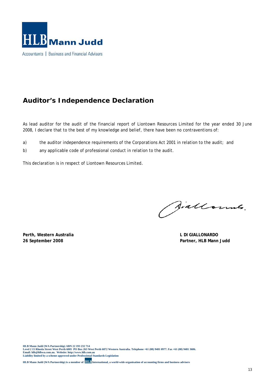

# **Auditor's Independence Declaration**

As lead auditor for the audit of the financial report of Liontown Resources Limited for the year ended 30 June 2008, I declare that to the best of my knowledge and belief, there have been no contraventions of:

- a) the auditor independence requirements of the Corporations Act 2001 in relation to the audit; and
- b) any applicable code of professional conduct in relation to the audit.

This declaration is in respect of Liontown Resources Limited.

**Perth, Western Australia L DI GIALLONARDO L DI GIALLONARDO 26 September 2008 Partner, HLB Mann Judd**

Siallonnes.

HLB Mann Judd (WA Partnership) ABN 22 193 232 714<br>Level 2 15 Rheola Street West Perth 6005 PO Box 263 West Perth 6872 Western Australia. Telephone +61 (08) 9481 0977. Fax +61 (08) 9481 3686.<br>Email: hlb@hlbwa.com.au. Websit

**HLB Mann Judd (WA Partnership) is a member of <b>HLB** International, a world-wide organisation of accounting firms and business advisers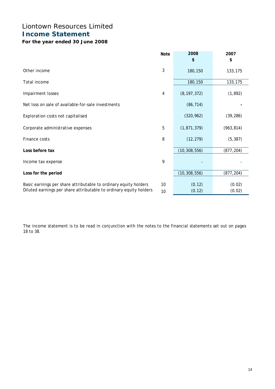# Liontown Resources Limited **Income Statement**

## **For the year ended 30 June 2008**

|                                                                                                                                        | <b>Note</b> | 2008             | 2007             |
|----------------------------------------------------------------------------------------------------------------------------------------|-------------|------------------|------------------|
|                                                                                                                                        |             | \$               | \$               |
| Other income                                                                                                                           | 3           | 180,150          | 133,175          |
| Total income                                                                                                                           |             | 180,150          | 133,175          |
| Impairment losses                                                                                                                      | 4           | (8, 197, 372)    | (1, 892)         |
| Net loss on sale of available-for-sale investments                                                                                     |             | (86, 714)        |                  |
| Exploration costs not capitalised                                                                                                      |             | (320, 962)       | (39, 286)        |
| Corporate administrative expenses                                                                                                      | 5           | (1, 871, 379)    | (963, 814)       |
| Finance costs                                                                                                                          | 8           | (12, 279)        | (5, 387)         |
| Loss before tax                                                                                                                        |             | (10, 308, 556)   | (877, 204)       |
| Income tax expense                                                                                                                     | 9           |                  |                  |
| Loss for the period                                                                                                                    |             | (10, 308, 556)   | (877, 204)       |
| Basic earnings per share attributable to ordinary equity holders<br>Diluted earnings per share attributable to ordinary equity holders | 10<br>10    | (0.12)<br>(0.12) | (0.02)<br>(0.02) |

The income statement is to be read in conjunction with the notes to the financial statements set out on pages 18 to 38.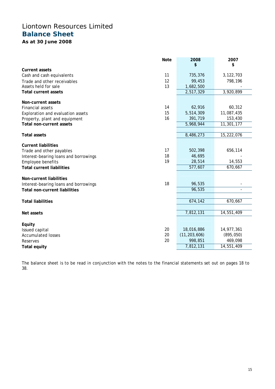# Liontown Resources Limited **Balance Sheet**

**As at 30 June 2008** 

|                                       | <b>Note</b> | 2008           | 2007       |
|---------------------------------------|-------------|----------------|------------|
|                                       |             | \$             | \$         |
| <b>Current assets</b>                 |             |                |            |
| Cash and cash equivalents             | 11          | 735,376        | 3,122,703  |
| Trade and other receivables           | 12          | 99,453         | 798,196    |
| Assets held for sale                  | 13          | 1,682,500      |            |
| <b>Total current assets</b>           |             | 2,517,329      | 3,920,899  |
| Non-current assets                    |             |                |            |
| <b>Financial assets</b>               | 14          | 62,916         | 60,312     |
| Exploration and evaluation assets     | 15          | 5,514,309      | 11,087,435 |
| Property, plant and equipment         | 16          | 391,719        | 153,430    |
| Total non-current assets              |             | 5,968,944      | 11,301,177 |
|                                       |             |                |            |
| <b>Total assets</b>                   |             | 8,486,273      | 15,222,076 |
| <b>Current liabilities</b>            |             |                |            |
| Trade and other payables              | 17          | 502,398        | 656,114    |
| Interest-bearing loans and borrowings | 18          | 46,695         |            |
| Employee benefits                     | 19          | 28,514         | 14,553     |
| <b>Total current liabilities</b>      |             | 577,607        | 670,667    |
|                                       |             |                |            |
| <b>Non-current liabilities</b>        |             |                |            |
| Interest-bearing loans and borrowings | 18          | 96,535         |            |
| <b>Total non-current liabilities</b>  |             | 96,535         |            |
| <b>Total liabilities</b>              |             | 674,142        | 670,667    |
|                                       |             |                |            |
| Net assets                            |             | 7,812,131      | 14,551,409 |
|                                       |             |                |            |
| Equity                                | 20          | 18,016,886     | 14,977,361 |
| Issued capital                        | 20          | (11, 203, 606) | (895, 050) |
| <b>Accumulated losses</b>             | 20          | 998,851        |            |
| Reserves                              |             |                | 469,098    |
| <b>Total equity</b>                   |             | 7,812,131      | 14,551,409 |

The balance sheet is to be read in conjunction with the notes to the financial statements set out on pages 18 to 38.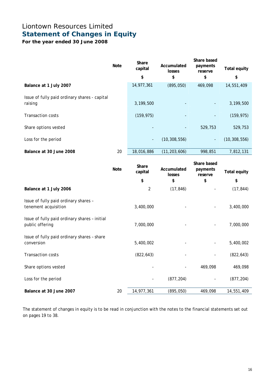# Liontown Resources Limited **Statement of Changes in Equity**

**For the year ended 30 June 2008** 

|                                                          | <b>Note</b> | Share<br>capital | Accumulated<br>losses | Share based<br>payments<br>reserve | <b>Total equity</b> |
|----------------------------------------------------------|-------------|------------------|-----------------------|------------------------------------|---------------------|
|                                                          |             | \$               | \$                    | \$                                 | \$                  |
| Balance at 1 July 2007                                   |             | 14,977,361       | (895, 050)            | 469,098                            | 14,551,409          |
| Issue of fully paid ordinary shares - capital<br>raising |             | 3,199,500        |                       | $\sim$                             | 3,199,500           |
| <b>Transaction costs</b>                                 |             | (159, 975)       |                       | Ξ.                                 | (159, 975)          |
| Share options vested                                     |             |                  | Ξ.                    | 529,753                            | 529,753             |
| Loss for the period                                      |             | $\blacksquare$   | (10, 308, 556)        | $\overline{\phantom{a}}$           | (10, 308, 556)      |
| Balance at 30 June 2008                                  | 20          | 18,016,886       | (11, 203, 606)        | 998,851                            | 7,812,131           |
|                                                          |             |                  |                       | Share based                        |                     |

|                                                                  | <b>Note</b> | Share<br>capital | Accumulated<br>payments<br>losses<br>reserve |         | <b>Total equity</b> |
|------------------------------------------------------------------|-------------|------------------|----------------------------------------------|---------|---------------------|
|                                                                  |             | \$               | \$                                           | \$      | \$                  |
| Balance at 1 July 2006                                           |             | $\overline{2}$   | (17, 846)                                    |         | (17, 844)           |
| Issue of fully paid ordinary shares -<br>tenement acquisition    |             | 3,400,000        |                                              |         | 3,400,000           |
| Issue of fully paid ordinary shares - initial<br>public offering |             | 7,000,000        |                                              |         | 7,000,000           |
| Issue of fully paid ordinary shares - share<br>conversion        |             | 5,400,002        |                                              |         | 5,400,002           |
| <b>Transaction costs</b>                                         |             | (822, 643)       |                                              |         | (822, 643)          |
| Share options vested                                             |             |                  |                                              | 469,098 | 469,098             |
| Loss for the period                                              |             |                  | (877, 204)                                   |         | (877, 204)          |
| Balance at 30 June 2007                                          | 20          | 14,977,361       | (895,050)                                    | 469,098 | 14,551,409          |

The statement of changes in equity is to be read in conjunction with the notes to the financial statements set out on pages 19 to 38.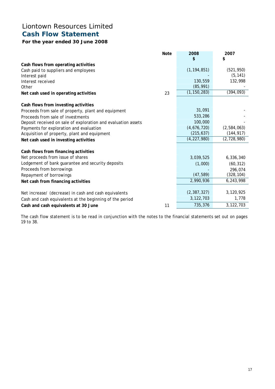# Liontown Resources Limited **Cash Flow Statement**

## **For the year ended 30 June 2008**

|                                                               | <b>Note</b> | 2008<br>\$    | 2007<br>\$  |
|---------------------------------------------------------------|-------------|---------------|-------------|
| Cash flows from operating activities                          |             |               |             |
| Cash paid to suppliers and employees                          |             | (1, 194, 851) | (521, 950)  |
| Interest paid                                                 |             |               | (5, 141)    |
| Interest received                                             |             | 130,559       | 132,998     |
| Other                                                         |             | (85, 991)     |             |
| Net cash used in operating activities                         | 23          | (1, 150, 283) | (394, 093)  |
| Cash flows from investing activities                          |             |               |             |
| Proceeds from sale of property, plant and equipment           |             | 31,091        |             |
| Proceeds from sale of investments                             |             | 533,286       |             |
| Deposit received on sale of exploration and evaluation assets |             | 100,000       |             |
| Payments for exploration and evaluation                       |             | (4,676,720)   | (2,584,063) |
| Acquisition of property, plant and equipment                  |             | (215, 637)    | (144, 917)  |
| Net cash used in investing activities                         |             | (4, 227, 980) | (2,728,980) |
| Cash flows from financing activities                          |             |               |             |
| Net proceeds from issue of shares                             |             | 3,039,525     | 6,336,340   |
| Lodgement of bank guarantee and security deposits             |             | (1,000)       | (60, 312)   |
| Proceeds from borrowings                                      |             |               | 296,074     |
| Repayment of borrowings                                       |             | (47, 589)     | (328, 104)  |
| Net cash from financing activities                            |             | 2,990,936     | 6,243,998   |
| Net increase/ (decrease) in cash and cash equivalents         |             | (2, 387, 327) | 3,120,925   |
| Cash and cash equivalents at the beginning of the period      |             | 3,122,703     | 1,778       |
| Cash and cash equivalents at 30 June                          | 11          | 735,376       | 3,122,703   |

The cash flow statement is to be read in conjunction with the notes to the financial statements set out on pages 19 to 38.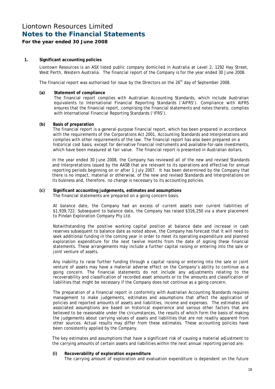## **For the year ended 30 June 2008**

## **1. Significant accounting policies**

Liontown Resources is an ASX listed public company domiciled in Australia at Level 2, 1292 Hay Street, West Perth, Western Australia. The financial report of the Company is for the year ended 30 June 2008.

The financial report was authorised for issue by the Directors on the 26<sup>th</sup> day of September 2008.

#### **(a) Statement of compliance**

The financial report complies with Australian Accounting Standards, which include Australian equivalents to International Financial Reporting Standards ('AIFRS'). Compliance with AIFRS ensures that the financial report, comprising the financial statements and notes thereto, complies with International Financial Reporting Standards ('IFRS').

## **(b) Basis of preparation**

The financial report is a general-purpose financial report, which has been prepared in accordance with the requirements of the Corporations Act 2001, Accounting Standards and Interpretations and complies with other requirements of the law. The financial report has also been prepared on a historical cost basis, except for derivative financial instruments and available-for-sale investments, which have been measured at fair value. The financial report is presented in Australian dollars.

In the year ended 30 June 2008, the Company has reviewed all of the new and revised Standards and Interpretations issued by the AASB that are relevant to its operations and effective for annual reporting periods beginning on or after 1 July 2007. It has been determined by the Company that there is no impact, material or otherwise, of the new and revised Standards and Interpretations on its business and, therefore, no change is necessary to its accounting policies.

## **(c) Significant accounting judgements, estimates and assumptions**

The financial statements are prepared on a going concern basis.

At balance date, the Company had an excess of current assets over current liabilities of \$1,939,722. Subsequent to balance date, the Company has raised \$316,250 via a share placement to Pindan Exploration Company Pty Ltd.

Notwithstanding the positive working capital position at balance date and increase in cash reserves subsequent to balance date as noted above, the Company has forecast that it will need to seek additional funding in the coming year in order to meet its operating expenditure and planned exploration expenditure for the next twelve months from the date of signing these financial statements. These arrangements may include a further capital raising or entering into the sale or joint venture of assets.

Any inability to raise further funding through a capital raising or entering into the sale or joint venture of assets may have a material adverse effect on the Company's ability to continue as a going concern. The financial statements do not include any adjustments relating to the recoverability and classification of recorded asset amounts or to the amounts and classification of liabilities that might be necessary if the Company does not continue as a going concern.

The preparation of a financial report in conformity with Australian Accounting Standards requires management to make judgements, estimates and assumptions that affect the application of policies and reported amounts of assets and liabilities, income and expenses. The estimates and associated assumptions are based on historical experience and various other factors that are believed to be reasonable under the circumstances, the results of which form the basis of making the judgements about carrying values of assets and liabilities that are not readily apparent from other sources. Actual results may differ from these estimates. These accounting policies have been consistently applied by the Company.

The key estimates and assumptions that have a significant risk of causing a material adjustment to the carrying amounts of certain assets and liabilities within the next annual reporting period are:

## **(i) Recoverability of exploration expenditure**

The carrying amount of exploration and evaluation expenditure is dependent on the future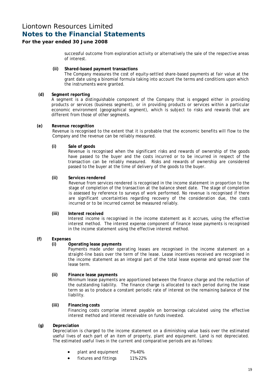## **For the year ended 30 June 2008**

successful outcome from exploration activity or alternatively the sale of the respective areas of interest.

#### **(ii) Shared-based payment transactions**

The Company measures the cost of equity-settled share-based payments at fair value at the grant date using a binomial formula taking into account the terms and conditions upon which the instruments were granted.

## **(d) Segment reporting**

A segment is a distinguishable component of the Company that is engaged either in providing products or services (business segment), or in providing products or services within a particular economic environment (geographical segment), which is subject to risks and rewards that are different from those of other segments.

## **(e) Revenue recognition**

Revenue is recognised to the extent that it is probable that the economic benefits will flow to the Company and the revenue can be reliably measured.

#### **(i) Sale of goods**

Revenue is recognised when the significant risks and rewards of ownership of the goods have passed to the buyer and the costs incurred or to be incurred in respect of the transaction can be reliably measured. Risks and rewards of ownership are considered passed to the buyer at the time of delivery of the goods to the buyer.

#### **(ii) Services rendered**

Revenue from services rendered is recognised in the income statement in proportion to the stage of completion of the transaction at the balance sheet date. The stage of completion is assessed by reference to surveys of work performed. No revenue is recognised if there are significant uncertainties regarding recovery of the consideration due, the costs incurred or to be incurred cannot be measured reliably.

## **(iii) Interest received**

Interest income is recognised in the income statement as it accrues, using the effective interest method. The interest expense component of finance lease payments is recognised in the income statement using the effective interest method.

## **(f) Expenses**

## **(i) Operating lease payments**

Payments made under operating leases are recognised in the income statement on a straight-line basis over the term of the lease. Lease incentives received are recognised in the income statement as an integral part of the total lease expense and spread over the lease term.

## **(ii) Finance lease payments**

Minimum lease payments are apportioned between the finance charge and the reduction of the outstanding liability. The finance charge is allocated to each period during the lease term so as to produce a constant periodic rate of interest on the remaining balance of the liability.

## **(iii) Financing costs**

Financing costs comprise interest payable on borrowings calculated using the effective interest method and interest receivable on funds invested.

#### **(g) Depreciation**

Depreciation is charged to the income statement on a diminishing value basis over the estimated useful lives of each part of an item of property, plant and equipment. Land is not depreciated. The estimated useful lives in the current and comparative periods are as follows:

- plant and equipment 7%-40%
- fixtures and fittings 11%-22%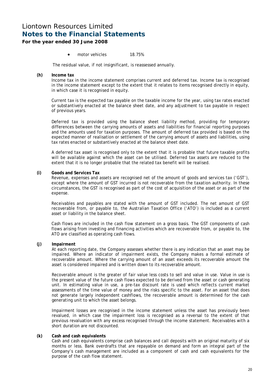## **For the year ended 30 June 2008**

## • motor vehicles 18.75%

The residual value, if not insignificant, is reassessed annually.

#### **(h) Income tax**

Income tax in the income statement comprises current and deferred tax. Income tax is recognised in the income statement except to the extent that it relates to items recognised directly in equity, in which case it is recognised in equity.

Current tax is the expected tax payable on the taxable income for the year, using tax rates enacted or substantively enacted at the balance sheet date, and any adjustment to tax payable in respect of previous years.

Deferred tax is provided using the balance sheet liability method, providing for temporary differences between the carrying amounts of assets and liabilities for financial reporting purposes and the amounts used for taxation purposes. The amount of deferred tax provided is based on the expected manner of realisation or settlement of the carrying amount of assets and liabilities, using tax rates enacted or substantively enacted at the balance sheet date.

A deferred tax asset is recognised only to the extent that it is probable that future taxable profits will be available against which the asset can be utilised. Deferred tax assets are reduced to the extent that it is no longer probable that the related tax benefit will be realised.

## **(i) Goods and Services Tax**

Revenue, expenses and assets are recognised net of the amount of goods and services tax ('GST'), except where the amount of GST incurred is not recoverable from the taxation authority. In these circumstances, the GST is recognised as part of the cost of acquisition of the asset or as part of the expense.

Receivables and payables are stated with the amount of GST included. The net amount of GST recoverable from, or payable to, the Australian Taxation Office ('ATO') is included as a current asset or liability in the balance sheet.

Cash flows are included in the cash flow statement on a gross basis. The GST components of cash flows arising from investing and financing activities which are recoverable from, or payable to, the ATO are classified as operating cash flows.

## **(j) Impairment**

At each reporting date, the Company assesses whether there is any indication that an asset may be impaired. Where an indicator of impairment exists, the Company makes a formal estimate of recoverable amount. Where the carrying amount of an asset exceeds its recoverable amount the asset is considered impaired and is written down to its recoverable amount.

Recoverable amount is the greater of fair value less costs to sell and value in use. Value in use is the present value of the future cash flows expected to be derived from the asset or cash generating unit. In estimating value in use, a pre-tax discount rate is used which reflects current market assessments of the time value of money and the risks specific to the asset. For an asset that does not generate largely independent cashflows, the recoverable amount is determined for the cash generating unit to which the asset belongs.

Impairment losses are recognised in the income statement unless the asset has previously been revalued, in which case the impairment loss is recognised as a reversal to the extent of that previous revaluation with any excess recognised through the income statement. Receivables with a short duration are not discounted.

## **(k) Cash and cash equivalents**

Cash and cash equivalents comprise cash balances and call deposits with an original maturity of six months or less. Bank overdrafts that are repayable on demand and form an integral part of the Company's cash management are included as a component of cash and cash equivalents for the purpose of the cash flow statement.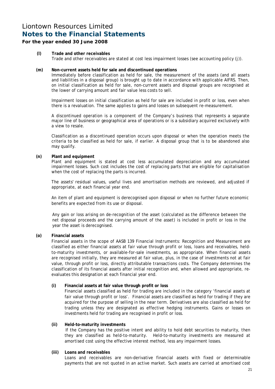## **For the year ended 30 June 2008**

**(l) Trade and other receivables**  Trade and other receivables are stated at cost less impairment losses (see accounting policy (j)).

#### **(m) Non-current assets held for sale and discontinued operations**

Immediately before classification as held for sale, the measurement of the assets (and all assets and liabilities in a disposal group) is brought up to date in accordance with applicable AIFRS. Then, on initial classification as held for sale, non-current assets and disposal groups are recognised at the lower of carrying amount and fair value less costs to sell.

Impairment losses on initial classification as held for sale are included in profit or loss, even when there is a revaluation. The same applies to gains and losses on subsequent re-measurement.

A discontinued operation is a component of the Company's business that represents a separate major line of business or geographical area of operations or is a subsidiary acquired exclusively with a view to resale.

Classification as a discontinued operation occurs upon disposal or when the operation meets the criteria to be classified as held for sale, if earlier. A disposal group that is to be abandoned also may qualify.

## **(n) Plant and equipment**

Plant and equipment is stated at cost less accumulated depreciation and any accumulated impairment losses. Such cost includes the cost of replacing parts that are eligible for capitalisation when the cost of replacing the parts is incurred.

The assets' residual values, useful lives and amortisation methods are reviewed, and adjusted if appropriate, at each financial year end.

An item of plant and equipment is derecognised upon disposal or when no further future economic benefits are expected from its use or disposal.

Any gain or loss arising on de-recognition of the asset (calculated as the difference between the net disposal proceeds and the carrying amount of the asset) is included in profit or loss in the year the asset is derecognised.

## **(o) Financial assets**

Financial assets in the scope of AASB 139 *Financial Instruments: Recognition and Measurement* are classified as either financial assets at fair value through profit or loss, loans and receivables, heldto-maturity investments, or available-for-sale investments, as appropriate. When financial assets are recognised initially, they are measured at fair value, plus, in the case of investments not at fair value, through profit or loss, directly attributable transactions costs. The Company determines the classification of its financial assets after initial recognition and, when allowed and appropriate, reevaluates this designation at each financial year end.

## **(i) Financial assets at fair value through profit or loss**

 Financial assets classified as held for trading are included in the category 'financial assets at fair value through profit or loss'. Financial assets are classified as held for trading if they are acquired for the purpose of selling in the near term. Derivatives are also classified as held for trading unless they are designated as effective hedging instruments. Gains or losses on investments held for trading are recognised in profit or loss.

## **(ii) Held-to-maturity investments**

If the Company has the positive intent and ability to hold debt securities to maturity, then they are classified as held-to-maturity. Held-to-maturity investments are measured at amortised cost using the effective interest method, less any impairment losses.

## **(iii) Loans and receivables**

 Loans and receivables are non-derivative financial assets with fixed or determinable payments that are not quoted in an active market. Such assets are carried at amortised cost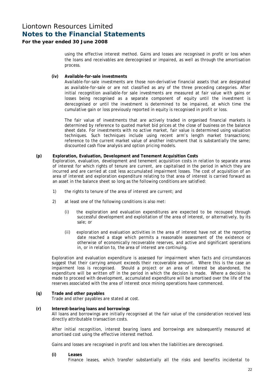## **For the year ended 30 June 2008**

using the effective interest method. Gains and losses are recognised in profit or loss when the loans and receivables are derecognised or impaired, as well as through the amortisation process.

## **(iv) Available-for-sale investments**

 Available-for-sale investments are those non-derivative financial assets that are designated as available-for-sale or are not classified as any of the three preceding categories. After initial recognition available-for sale investments are measured at fair value with gains or losses being recognised as a separate component of equity until the investment is derecognised or until the investment is determined to be impaired, at which time the cumulative gain or loss previously reported in equity is recognised in profit or loss.

 The fair value of investments that are actively traded in organised financial markets is determined by reference to quoted market bid prices at the close of business on the balance sheet date. For investments with no active market, fair value is determined using valuation techniques. Such techniques include using recent arm's length market transactions; reference to the current market value of another instrument that is substantially the same; discounted cash flow analysis and option pricing models.

## **(p) Exploration, Evaluation, Development and Tenement Acquisition Costs**

Exploration, evaluation, development and tenement acquisition costs in relation to separate areas of interest for which rights of tenure are current, are capitalised in the period in which they are incurred and are carried at cost less accumulated impairment losses. The cost of acquisition of an area of interest and exploration expenditure relating to that area of interest is carried forward as an asset in the balance sheet so long as the following conditions are satisfied:

- 1) the rights to tenure of the area of interest are current; and
- 2) at least one of the following conditions is also met:
	- (i) the exploration and evaluation expenditures are expected to be recouped through successful development and exploitation of the area of interest, or alternatively, by its sale; or
	- (ii) exploration and evaluation activities in the area of interest have not at the reporting date reached a stage which permits a reasonable assessment of the existence or otherwise of economically recoverable reserves, and active and significant operations in, or in relation to, the area of interest are continuing.

Exploration and evaluation expenditure is assessed for impairment when facts and circumstances suggest that their carrying amount exceeds their recoverable amount. Where this is the case an impairment loss is recognised. Should a project or an area of interest be abandoned, the expenditure will be written off in the period in which the decision is made. Where a decision is made to proceed with development, accumulated expenditure will be amortised over the life of the reserves associated with the area of interest once mining operations have commenced.

## **(q) Trade and other payables**

Trade and other payables are stated at cost.

## **(r) Interest-bearing loans and borrowings**

All loans and borrowings are initially recognised at the fair value of the consideration received less directly attributable transaction costs.

After initial recognition, interest bearing loans and borrowings are subsequently measured at amortised cost using the effective interest method.

Gains and losses are recognised in profit and loss when the liabilities are derecognised.

**(i) Leases** 

Finance leases, which transfer substantially all the risks and benefits incidental to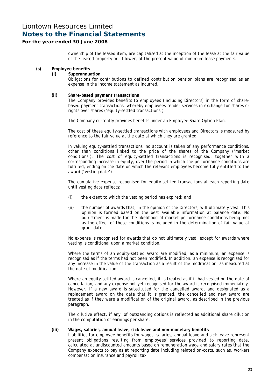## **For the year ended 30 June 2008**

ownership of the leased item, are capitalised at the inception of the lease at the fair value of the leased property or, if lower, at the present value of minimum lease payments.

#### **(s) Employee benefits**

#### **(i) Superannuation**

Obligations for contributions to defined contribution pension plans are recognised as an expense in the income statement as incurred.

## **(ii) Share-based payment transactions**

The Company provides benefits to employees (including Directors) in the form of sharebased payment transactions, whereby employees render services in exchange for shares or rights over shares ('equity-settled transactions').

The Company currently provides benefits under an Employee Share Option Plan.

The cost of these equity-settled transactions with employees and Directors is measured by reference to the fair value at the date at which they are granted.

In valuing equity-settled transactions, no account is taken of any performance conditions, other than conditions linked to the price of the shares of the Company ('market conditions'). The cost of equity-settled transactions is recognised, together with a corresponding increase in equity, over the period in which the performance conditions are fulfilled, ending on the date on which the relevant employees become fully entitled to the award ('vesting date').

The cumulative expense recognised for equity-settled transactions at each reporting date until vesting date reflects:

- (i) the extent to which the vesting period has expired; and
- (ii) the number of awards that, in the opinion of the Directors, will ultimately vest. This opinion is formed based on the best available information at balance date. No adjustment is made for the likelihood of market performance conditions being met as the effect of these conditions is included in the determination of fair value at grant date.

No expense is recognised for awards that do not ultimately vest, except for awards where vesting is conditional upon a market condition.

Where the terms of an equity-settled award are modified, as a minimum, an expense is recognised as if the terms had not been modified. In addition, an expense is recognised for any increase in the value of the transaction as a result of the modification, as measured at the date of modification.

Where an equity-settled award is cancelled, it is treated as if it had vested on the date of cancellation, and any expense not yet recognised for the award is recognised immediately. However, if a new award is substituted for the cancelled award, and designated as a replacement award on the date that it is granted, the cancelled and new award are treated as if they were a modification of the original award, as described in the previous paragraph.

The dilutive effect, if any, of outstanding options is reflected as additional share dilution in the computation of earnings per share.

## **(iii) Wages, salaries, annual leave, sick leave and non-monetary benefits**

Liabilities for employee benefits for wages, salaries, annual leave and sick leave represent present obligations resulting from employees' services provided to reporting date, calculated at undiscounted amounts based on remuneration wage and salary rates that the Company expects to pay as at reporting date including related on-costs, such as, workers compensation insurance and payroll tax.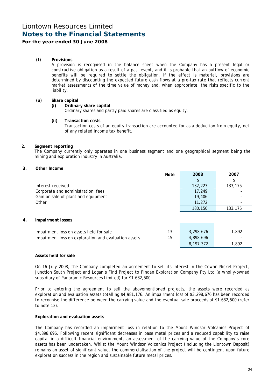## **For the year ended 30 June 2008**

## **(t) Provisions**

A provision is recognised in the balance sheet when the Company has a present legal or constructive obligation as a result of a past event, and it is probable that an outflow of economic benefits will be required to settle the obligation. If the effect is material, provisions are determined by discounting the expected future cash flows at a pre-tax rate that reflects current market assessments of the time value of money and, when appropriate, the risks specific to the liability.

## **(u) Share capital**

**(i) Ordinary share capital** 

Ordinary shares and partly paid shares are classified as equity.

#### **(ii) Transaction costs**

 Transaction costs of an equity transaction are accounted for as a deduction from equity, net of any related income tax benefit.

## **2. Segment reporting**

The Company currently only operates in one business segment and one geographical segment being the mining and exploration industry in Australia.

## **3. Other Income**

|    |                                                      | Note | 2008        | 2007    |
|----|------------------------------------------------------|------|-------------|---------|
|    |                                                      |      | \$          | \$      |
|    | Interest received                                    |      | 132,223     | 133,175 |
|    | Corporate and administration fees                    |      | 17,249      |         |
|    | Gain on sale of plant and equipment                  |      | 19,406      |         |
|    | Other                                                |      | 11,272      |         |
|    |                                                      |      | 180,150     | 133,175 |
|    |                                                      |      |             |         |
| 4. | Impairment losses                                    |      |             |         |
|    |                                                      |      |             |         |
|    | Impairment loss on assets held for sale              | 13   | 3,298,676   | 1,892   |
|    | Impairment loss on exploration and evaluation assets | 15   | 4,898,696   |         |
|    |                                                      |      | 8, 197, 372 | 1,892   |
|    |                                                      |      |             |         |

## **Assets held for sale**

On 16 July 2008, the Company completed an agreement to sell its interest in the Cowan Nickel Project, Junction South Project and Logan's Find Project to Pindan Exploration Company Pty Ltd (a wholly-owned subsidiary of Panoramic Resources Limited) for \$1,682,500.

Prior to entering the agreement to sell the abovementioned projects, the assets were recorded as exploration and evaluation assets totalling \$4,981,176. An impairment loss of \$3,298,676 has been recorded to recognise the difference between the carrying value and the eventual sale proceeds of \$1,682,500 (refer to note 13).

## **Exploration and evaluation assets**

The Company has recorded an impairment loss in relation to the Mount Windsor Volcanics Project of \$4,898,696. Following recent significant decreases in base metal prices and a reduced capability to raise capital in a difficult financial environment, an assessment of the carrying value of the Company's core assets has been undertaken. Whilst the Mount Windsor Volcanics Project (including the Liontown Deposit) remains an asset of significant value, the commercialisation of the project will be contingent upon future exploration success in the region and sustainable future metal prices.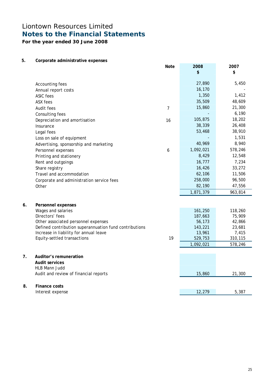**For the year ended 30 June 2008** 

## **5. Corporate administrative expenses**

|    |                                                        | <b>Note</b>    | 2008      | 2007    |
|----|--------------------------------------------------------|----------------|-----------|---------|
|    |                                                        |                | \$        | \$      |
|    |                                                        |                |           |         |
|    | Accounting fees                                        |                | 27,890    | 5,450   |
|    | Annual report costs                                    |                | 16,170    |         |
|    | <b>ASIC</b> fees                                       |                | 1,350     | 1,412   |
|    | <b>ASX fees</b>                                        |                | 35,509    | 48,609  |
|    | Audit fees                                             | $\overline{7}$ | 15,860    | 21,300  |
|    | Consulting fees                                        |                |           | 6,190   |
|    | Depreciation and amortisation                          | 16             | 105,875   | 18,202  |
|    | Insurance                                              |                | 38,339    | 26,408  |
|    | Legal fees                                             |                | 53,468    | 38,910  |
|    | Loss on sale of equipment                              |                |           | 1,531   |
|    | Advertising, sponsorship and marketing                 |                | 40,969    | 8,940   |
|    | Personnel expenses                                     | 6              | 1,092,021 | 578,246 |
|    | Printing and stationery                                |                | 8,429     | 12,548  |
|    | Rent and outgoings                                     |                | 16,777    | 7,234   |
|    | Share registry                                         |                | 16,426    | 33,272  |
|    | Travel and accommodation                               |                | 62,106    | 11,506  |
|    | Corporate and administration service fees              |                | 258,000   | 96,500  |
|    | Other                                                  |                | 82,190    | 47,556  |
|    |                                                        |                | 1,871,379 | 963,814 |
|    |                                                        |                |           |         |
| 6. | Personnel expenses                                     |                |           |         |
|    | Wages and salaries                                     |                | 161,250   | 118,260 |
|    | Directors' fees                                        |                | 187,663   | 75,909  |
|    | Other associated personnel expenses                    |                | 56,173    | 42,866  |
|    | Defined contribution superannuation fund contributions |                | 143,221   | 23,681  |
|    | Increase in liability for annual leave                 |                | 13,961    | 7,415   |
|    | Equity-settled transactions                            | 19             | 529,753   | 310,115 |
|    |                                                        |                | 1,092,021 | 578,246 |
| 7. | Auditor's remuneration                                 |                |           |         |
|    | <b>Audit services</b>                                  |                |           |         |
|    | HLB Mann Judd                                          |                |           |         |
|    | Audit and review of financial reports                  |                | 15,860    | 21,300  |
|    |                                                        |                |           |         |
| 8. | Finance costs                                          |                |           |         |
|    | Interest expense                                       |                | 12,279    | 5,387   |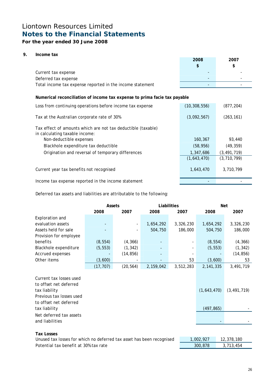## **For the year ended 30 June 2008**

## **9. Income tax**

|                                                                           | 2008 | 2007 |
|---------------------------------------------------------------------------|------|------|
|                                                                           | S    | S    |
| Current tax expense                                                       |      |      |
| Deferred tax expense                                                      |      |      |
| Total income tax expense reported in the income statement                 |      |      |
| Numerical reconciliation of income tax expense to prima facie tax payable |      |      |

| Loss from continuing operations before income tax expense                                      | (10, 308, 556) | (877, 204)    |
|------------------------------------------------------------------------------------------------|----------------|---------------|
| Tax at the Australian corporate rate of 30%                                                    | (3,092,567)    | (263, 161)    |
| Tax effect of amounts which are not tax deductible (taxable)<br>in calculating taxable income: |                |               |
| Non-deductible expenses                                                                        | 160,367        | 93,440        |
| Blackhole expenditure tax deductible                                                           | (58, 956)      | (49, 359)     |
| Origination and reversal of temporary differences                                              | 1,347,686      | (3, 491, 719) |
|                                                                                                | (1,643,470)    | (3, 710, 799) |
| Current year tax benefits not recognised                                                       | 1,643,470      | 3,710,799     |
| Income tax expense reported in the income statement                                            |                |               |

Deferred tax assets and liabilities are attributable to the following:

|                                                                                                                                                                                         | Assets    |           | Liabilities |           |                           | <b>Net</b>    |  |
|-----------------------------------------------------------------------------------------------------------------------------------------------------------------------------------------|-----------|-----------|-------------|-----------|---------------------------|---------------|--|
|                                                                                                                                                                                         | 2008      | 2007      | 2008        | 2007      |                           | 2007          |  |
| Exploration and                                                                                                                                                                         |           |           |             |           |                           |               |  |
| evaluation assets                                                                                                                                                                       |           |           | 1,654,292   | 3,326,230 | 1,654,292                 | 3,326,230     |  |
| Assets held for sale                                                                                                                                                                    |           |           | 504,750     | 186,000   | 504,750                   | 186,000       |  |
| Provision for employee                                                                                                                                                                  |           |           |             |           |                           |               |  |
| benefits                                                                                                                                                                                | (8, 554)  | (4, 366)  |             |           | (8, 554)                  | (4, 366)      |  |
| Blackhole expenditure                                                                                                                                                                   | (5, 553)  | (1, 342)  |             |           | (5, 553)                  | (1, 342)      |  |
| Accrued expenses                                                                                                                                                                        |           | (14, 856) |             |           |                           | (14, 856)     |  |
| Other items                                                                                                                                                                             | (3,600)   |           |             | 53        | (3,600)                   | 53            |  |
|                                                                                                                                                                                         | (17, 707) | (20, 564) | 2,159,042   | 3,512,283 | 2,141,335                 | 3,491,719     |  |
| Current tax losses used<br>to offset net deferred<br>tax liability<br>Previous tax losses used<br>to offset net deferred<br>tax liability<br>Net deferred tax assets<br>and liabilities |           |           |             |           | (1,643,470)<br>(497, 865) | (3, 491, 719) |  |
| <b>Tax Losses</b>                                                                                                                                                                       |           |           |             |           |                           |               |  |

Unused tax losses for which no deferred tax asset has been recognised 1,002,927 12,378,180 Potential tax benefit at 30% tax rate 300,878 3,713,454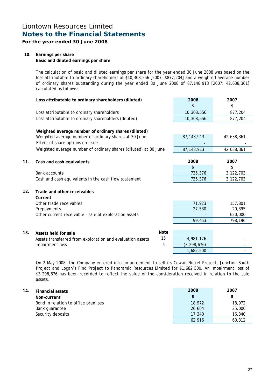## **For the year ended 30 June 2008**

## **10. Earnings per share**

**Basic and diluted earnings per share** 

The calculation of basic and diluted earnings per share for the year ended 30 June 2008 was based on the loss attributable to ordinary shareholders of \$10,308,556 [2007: \$877,204] and a weighted average number of ordinary shares outstanding during the year ended 30 June 2008 of 87,148,913 [2007: 42,638,361] calculated as follows:

|     | Loss attributable to ordinary shareholders (diluted)            |             | 2008          | 2007       |
|-----|-----------------------------------------------------------------|-------------|---------------|------------|
|     |                                                                 |             | \$            | \$         |
|     | Loss attributable to ordinary shareholders                      |             | 10,308,556    | 877,204    |
|     | Loss attributable to ordinary shareholders (diluted)            |             | 10,308,556    | 877,204    |
|     |                                                                 |             |               |            |
|     | Weighted average number of ordinary shares (diluted)            |             |               |            |
|     | Weighted average number of ordinary shares at 30 June           |             | 87, 148, 913  | 42,638,361 |
|     | Effect of share options on issue                                |             |               |            |
|     | Weighted average number of ordinary shares (diluted) at 30 June |             | 87, 148, 913  | 42,638,361 |
|     |                                                                 |             |               |            |
| 11. | Cash and cash equivalents                                       |             | 2008          | 2007       |
|     |                                                                 |             | \$            | \$         |
|     | <b>Bank accounts</b>                                            |             | 735,376       | 3,122,703  |
|     | Cash and cash equivalents in the cash flow statement            |             | 735,376       | 3,122,703  |
|     |                                                                 |             |               |            |
| 12. | Trade and other receivables                                     |             |               |            |
|     | Current                                                         |             |               |            |
|     | Other trade receivables                                         |             | 71,923        | 157,801    |
|     | Prepayments                                                     |             | 27,530        | 20,395     |
|     | Other current receivable - sale of exploration assets           |             |               | 620,000    |
|     |                                                                 |             | 99,453        | 798,196    |
|     |                                                                 | <b>Note</b> |               |            |
| 13. | Assets held for sale                                            | 15          |               |            |
|     | Assets transferred from exploration and evaluation assets       |             | 4,981,176     |            |
|     | Impairment loss                                                 | 4           | (3, 298, 676) |            |
|     |                                                                 |             | 1,682,500     |            |

On 2 May 2008, the Company entered into an agreement to sell its Cowan Nickel Project, Junction South Project and Logan's Find Project to Panoramic Resources Limited for \$1,682,500. An impairment loss of \$3,298,676 has been recorded to reflect the value of the consideration received in relation to the sale assets.

## 14. Financial assets 2007<br> **14.** Primarcial assets 2007<br> **14.** Primarcial assets 2007 **Non-current** Bond in relation to office premises 18,972 18,972 18,972 Bank guarantee 26,604 25,000 Security deposits 16,340 16,340 16,340 16,340 16,340 16,340 16,340 16,340 16,340 16,340 16,340 16,340 16,340 16,340 16,340 16,340 16,340 16,340 16,340 16,340 16,340 16,340 16,340 16,340 16,340 16,340 16,340 16,340 16,340 1 62,916 60,312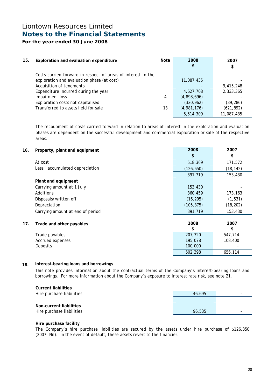## **For the year ended 30 June 2008**

| 15. | Exploration and evaluation expenditure                                                                                                                                                                                                                                        | <b>Note</b> | 2008<br>\$                                                          | 2007<br>\$                                       |
|-----|-------------------------------------------------------------------------------------------------------------------------------------------------------------------------------------------------------------------------------------------------------------------------------|-------------|---------------------------------------------------------------------|--------------------------------------------------|
|     | Costs carried forward in respect of areas of interest in the<br>exploration and evaluation phase (at cost)<br>Acquisition of tenements<br>Expenditure incurred during the year<br>Impairment loss<br>Exploration costs not capitalised<br>Transferred to assets held for sale | 4<br>13     | 11,087,435<br>4,627,708<br>(4,898,696)<br>(320, 962)<br>(4,981,176) | 9,415,248<br>2,333,365<br>(39,286)<br>(621, 892) |
|     |                                                                                                                                                                                                                                                                               |             | 5,514,309                                                           | 11,087,435                                       |

The recoupment of costs carried forward in relation to areas of interest in the exploration and evaluation phases are dependent on the successful development and commercial exploration or sale of the respective areas.

| 16. | Property, plant and equipment    | 2008<br>\$ | 2007<br>\$ |
|-----|----------------------------------|------------|------------|
|     | At cost                          | 518,369    | 171,572    |
|     | Less: accumulated depreciation   | (126, 650) | (18, 142)  |
|     |                                  | 391,719    | 153,430    |
|     | Plant and equipment              |            |            |
|     | Carrying amount at 1 July        | 153,430    |            |
|     | Additions                        | 360,459    | 173,163    |
|     | Disposals/written off            | (16, 295)  | (1, 531)   |
|     | Depreciation                     | (105, 875) | (18, 202)  |
|     | Carrying amount at end of period | 391,719    | 153,430    |
| 17. | Trade and other payables         | 2008<br>\$ | 2007<br>\$ |
|     | Trade payables                   | 207,320    | 547,714    |
|     | Accrued expenses                 | 195,078    | 108,400    |
|     | Deposits                         | 100,000    |            |
|     |                                  | 502,398    | 656,114    |

## **18. Interest-bearing loans and borrowings**

This note provides information about the contractual terms of the Company's interest-bearing loans and borrowings. For more information about the Company's exposure to interest rate risk, see note 21.

## **Current liabilities**

| Hire purchase liabilities | 46,695 | - |
|---------------------------|--------|---|
|                           |        |   |
| Non-current liabilities   |        |   |
| Hire purchase liabilities | 96.535 |   |

## **Hire purchase facility**

The Company's hire purchase liabilities are secured by the assets under hire purchase of \$126,350 (2007: Nil). In the event of default, these assets revert to the financier.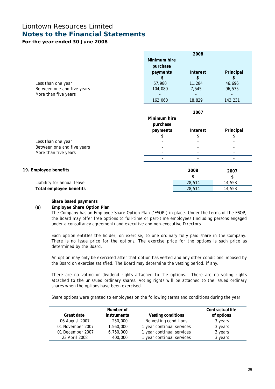## **For the year ended 30 June 2008**

|                            |              | 2008     |           |
|----------------------------|--------------|----------|-----------|
|                            | Minimum hire |          |           |
|                            | purchase     |          |           |
|                            | payments     | Interest | Principal |
|                            | \$           | \$       | \$        |
| Less than one year         | 57,980       | 11,284   | 46,696    |
| Between one and five years | 104,080      | 7,545    | 96,535    |
| More than five years       |              |          |           |
|                            | 162,060      | 18,829   | 143,231   |
|                            |              |          |           |
|                            |              | 2007     |           |
|                            | Minimum hire |          |           |
|                            | purchase     |          |           |
|                            | payments     | Interest | Principal |
|                            | \$           | \$       | \$        |
| Less than one year         |              |          |           |
| Between one and five years |              |          |           |
| More than five years       |              |          |           |
|                            |              |          |           |
| 19. Employee benefits      |              | 2008     | 2007      |
|                            |              | \$       | \$        |
| Liability for annual leave |              | 28,514   | 14,553    |
| Total employee benefits    |              | 28,514   | 14,553    |

## **Share based payments**

## **(a) Employee Share Option Plan**

The Company has an Employee Share Option Plan ('ESOP') in place. Under the terms of the ESOP, the Board may offer free options to full-time or part-time employees (including persons engaged under a consultancy agreement) and executive and non-executive Directors.

Each option entitles the holder, on exercise, to one ordinary fully paid share in the Company. There is no issue price for the options. The exercise price for the options is such price as determined by the Board.

An option may only be exercised after that option has vested and any other conditions imposed by the Board on exercise satisfied. The Board may determine the vesting period, if any.

There are no voting or dividend rights attached to the options. There are no voting rights attached to the unissued ordinary shares. Voting rights will be attached to the issued ordinary shares when the options have been exercised.

Share options were granted to employees on the following terms and conditions during the year:

|                  | Number of          |                           | Contractual life |
|------------------|--------------------|---------------------------|------------------|
| Grant date       | <i>instruments</i> | Vesting conditions        | of options       |
| 06 August 2007   | 250,000            | No vesting conditions     | 3 years          |
| 01 November 2007 | 1,560,000          | 1 year continual services | 3 years          |
| 01 December 2007 | 6,750,000          | 1 year continual services | 3 years          |
| 23 April 2008    | 400,000            | 1 year continual services | 3 years          |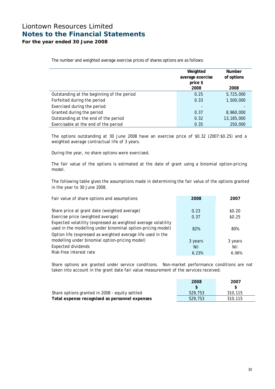**For the year ended 30 June 2008** 

The number and weighted average exercise prices of shares options are as follows:

|                                            | Weighted<br>average exercise | <b>Number</b><br>of options |
|--------------------------------------------|------------------------------|-----------------------------|
|                                            | price \$                     |                             |
|                                            | 2008                         | 2008                        |
| Outstanding at the beginning of the period | 0.25                         | 5,725,000                   |
| Forfeited during the period                | 0.33                         | 1,500,000                   |
| Exercised during the period                |                              |                             |
| Granted during the period                  | 0.37                         | 8,960,000                   |
| Outstanding at the end of the period       | 0.32                         | 13,185,000                  |
| Exercisable at the end of the period       | 0.35                         | 250,000                     |

The options outstanding at 30 June 2008 have an exercise price of \$0.32 (2007:\$0.25) and a weighted average contractual life of 3 years.

During the year, no share options were exercised.

The fair value of the options is estimated at the date of grant using a binomial option-pricing model.

The following table gives the assumptions made in determining the fair value of the options granted in the year to 30 June 2008.

| Fair value of share options and assumptions                                                                                  | 2008                | 2007             |
|------------------------------------------------------------------------------------------------------------------------------|---------------------|------------------|
| Share price at grant date (weighted average)<br>Exercise price (weighted average)                                            | 0.23<br>0.37        | \$0.20<br>\$0.25 |
| Expected volatility (expressed as weighted average volatility<br>used in the modelling under binominal option-pricing model) | 82%                 | 80%              |
| Option life (expressed as weighted average life used in the<br>modelling under binomial option-pricing model)                | 3 years             | 3 years          |
| <b>Expected dividends</b><br>Risk-free interest rate                                                                         | <b>Nil</b><br>6.23% | Nil<br>6.06%     |

Share options are granted under service conditions. Non-market performance conditions are not taken into account in the grant date fair value measurement of the services received.

|                                                | 2008    | 2007    |
|------------------------------------------------|---------|---------|
|                                                |         |         |
| Share options granted in 2008 - equity settled | 529.753 | 310,115 |
| Total expense recognised as personnel expenses | 529.753 | 310,115 |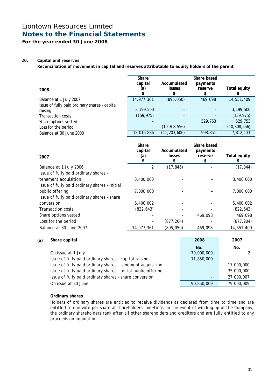## **For the year ended 30 June 2008**

## **20. Capital and reserves**

**Reconciliation of movement in capital and reserves attributable to equity holders of the parent** 

| Share<br>capital<br>(a)  | Accumulated<br>losses | Share based<br>payments<br>reserve | Total equity   |
|--------------------------|-----------------------|------------------------------------|----------------|
| 14,977,361               | (895,050)             | 469,098                            | 14,551,409     |
|                          |                       |                                    | 3,199,500      |
| (159, 975)               |                       |                                    | (159, 975)     |
|                          |                       | 529,753                            | 529,753        |
| $\overline{\phantom{a}}$ | (10, 308, 556)        |                                    | (10, 308, 556) |
| 18,016,886               | (11, 203, 606)        | 998,851                            | 7,812,131      |
|                          | 3,199,500             |                                    |                |

|                                               | Share<br>capital | Accumulated  | Share based<br>payments |                     |
|-----------------------------------------------|------------------|--------------|-------------------------|---------------------|
| 2007                                          | (a)              | losses<br>£. | reserve<br>\$           | <b>Total equity</b> |
| Balance at 1 July 2006                        |                  | (17, 846)    |                         | (17, 844)           |
| Issue of fully paid ordinary shares -         |                  |              |                         |                     |
| tenement acquisition                          | 3,400,000        |              |                         | 3,400,000           |
| Issue of fully paid ordinary shares - initial |                  |              |                         |                     |
| public offering                               | 7,000,000        |              |                         | 7,000,000           |
| Issue of fully paid ordinary shares - share   |                  |              |                         |                     |
| conversion                                    | 5,400,002        |              |                         | 5,400,002           |
| <b>Transaction costs</b>                      | (822, 643)       |              |                         | (822, 643)          |
| Share options vested                          |                  |              | 469,098                 | 469,098             |
| Loss for the period                           |                  | (877, 204)   |                         | (877, 204)          |
| Balance at 30 June 2007                       | 14.977.361       | (895, 050)   | 469.098                 | 14,551,409          |

## **(a) Share capital 2008 2007**

|                                                               | No.                      | No.        |
|---------------------------------------------------------------|--------------------------|------------|
| On issue at 1 July                                            | 79,000,009               |            |
| Issue of fully paid ordinary shares - capital raising         | 11,850,000               |            |
| Issue of fully paid ordinary shares - tenement acquisition    | $\overline{\phantom{0}}$ | 17,000,000 |
| Issue of fully paid ordinary shares - initial public offering | ۰.                       | 35,000,000 |
| Issue of fully paid ordinary shares - share conversion        | $\overline{\phantom{0}}$ | 27,000,007 |
| On issue at 30 June                                           | 90,850,009               | 79,000,009 |
|                                                               |                          |            |

## **Ordinary shares**

Holders of ordinary shares are entitled to receive dividends as declared from time to time and are entitled to one vote per share at shareholders' meetings. In the event of winding up of the Company, the ordinary shareholders rank after all other shareholders and creditors and are fully entitled to any proceeds on liquidation.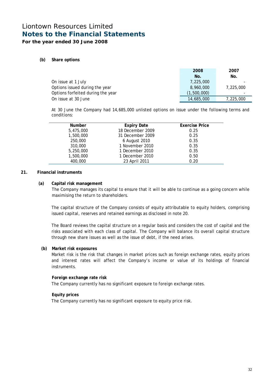## **For the year ended 30 June 2008**

## **(b) Share options**

|                                   | 2008        | 2007      |
|-----------------------------------|-------------|-----------|
|                                   | No.         | No.       |
| On issue at 1 July                | 7,225,000   |           |
| Options issued during the year    | 8,960,000   | 7,225,000 |
| Options forfeited during the year | (1,500,000) |           |
| On issue at 30 June               | 14,685,000  | 7,225,000 |

At 30 June the Company had 14,685,000 unlisted options on issue under the following terms and conditions:

| Number    | <b>Expiry Date</b> | <b>Exercise Price</b> |
|-----------|--------------------|-----------------------|
| 5,475,000 | 18 December 2009   | 0.25                  |
| 1,500,000 | 31 December 2009   | 0.25                  |
| 250,000   | 6 August 2010      | 0.35                  |
| 310,000   | 1 November 2010    | 0.35                  |
| 5,250,000 | 1 December 2010    | 0.35                  |
| 1,500,000 | 1 December 2010    | 0.50                  |
| 400,000   | 23 April 2011      | 0.20                  |

## **21. Financial instruments**

## **(a) Capital risk management**

The Company manages its capital to ensure that it will be able to continue as a going concern while maximising the return to shareholders.

The capital structure of the Company consists of equity attributable to equity holders, comprising issued capital, reserves and retained earnings as disclosed in note 20.

The Board reviews the capital structure on a regular basis and considers the cost of capital and the risks associated with each class of capital. The Company will balance its overall capital structure through new share issues as well as the issue of debt, if the need arises.

## **(b) Market risk exposures**

Market risk is the risk that changes in market prices such as foreign exchange rates, equity prices and interest rates will affect the Company's income or value of its holdings of financial instruments.

## **Foreign exchange rate risk**

The Company currently has no significant exposure to foreign exchange rates.

## **Equity prices**

The Company currently has no significant exposure to equity price risk.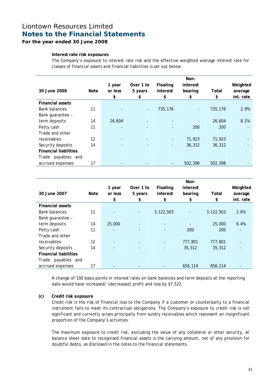## **For the year ended 30 June 2008**

## **Interest rate risk exposures**

The Company's exposure to interest rate risk and the effective weighted average interest rate for classes of financial assets and financial liabilities is set out below:

| 30 June 2008                 | Note | 1 year<br>or less<br>\$ | Over 1 to<br>5 years<br>\$ | Floating<br>interest<br>\$ | Non-<br>interest<br>bearing<br>\$ | Total<br>\$ | Weighted<br>average<br>int. rate |
|------------------------------|------|-------------------------|----------------------------|----------------------------|-----------------------------------|-------------|----------------------------------|
| <b>Financial assets</b>      |      |                         |                            |                            |                                   |             |                                  |
| <b>Bank balances</b>         | 11   |                         | $\overline{\phantom{a}}$   | 735,176                    | -                                 | 735,176     | 2.9%                             |
| Bank guarantee -             |      |                         |                            |                            |                                   |             |                                  |
| term deposits                | 14   | 26.604                  |                            |                            |                                   | 26,604      | 8.1%                             |
| Petty cash                   | 11   |                         |                            |                            | 200                               | 200         |                                  |
| Trade and other              |      |                         |                            |                            |                                   |             |                                  |
| receivables                  | 12   |                         |                            |                            | 71,923                            | 71,923      |                                  |
| Security deposits            | 14   |                         |                            | ۰                          | 36,312                            | 36,312      |                                  |
| <b>Financial liabilities</b> |      |                         |                            |                            |                                   |             |                                  |
| Trade payables<br>and        |      |                         |                            |                            |                                   |             |                                  |
| accrued expenses             | 17   |                         |                            |                            | 502,398                           | 502,398     |                                  |

| 30 June 2007                 | Note | 1 year<br>or less        | Over 1 to<br>5 years     | Floating<br>interest     | Non-<br>interest<br>bearing | Total     | Weighted<br>average      |
|------------------------------|------|--------------------------|--------------------------|--------------------------|-----------------------------|-----------|--------------------------|
|                              |      | \$                       | \$                       | \$                       | \$                          | \$        | int. rate                |
| <b>Financial assets</b>      |      |                          |                          |                          |                             |           |                          |
| <b>Bank balances</b>         | 11   |                          | $\overline{\phantom{a}}$ | 3,122,503                |                             | 3,122,503 | 2.6%                     |
| Bank guarantee -             |      |                          |                          |                          |                             |           |                          |
| term deposits                | 14   | 25,000                   |                          |                          |                             | 25,000    | 6.4%                     |
| Petty cash                   | 11   | $\overline{\phantom{a}}$ |                          |                          | 200                         | 200       | $\overline{\phantom{a}}$ |
| Trade and other              |      |                          |                          |                          |                             |           |                          |
| receivables                  | 12   |                          |                          | $\overline{\phantom{a}}$ | 777,801                     | 777,801   | $\overline{\phantom{a}}$ |
| Security deposits            | 14   |                          |                          |                          | 35,312                      | 35,312    | $\overline{\phantom{a}}$ |
| <b>Financial liabilities</b> |      |                          |                          |                          |                             |           |                          |
| Trade payables and           |      |                          |                          |                          |                             |           |                          |
| accrued expenses             | 17   |                          |                          |                          | 656,114                     | 656,114   | -                        |

A change of 100 basis points in interest rates on bank balances and term deposits at the reporting date would have increased/ (decreased) profit and loss by \$7,522.

## **(c) Credit risk exposure**

Credit risk is the risk of financial loss to the Company if a customer or counterparty to a financial instrument fails to meet its contractual obligations. The Company's exposure to credit risk is not significant and currently arises principally from sundry receivables which represent an insignificant proportion of the Company's activities.

The maximum exposure to credit risk, excluding the value of any collateral or other security, at balance sheet date to recognised financial assets is the carrying amount, net of any provision for doubtful debts, as disclosed in the notes to the financial statements.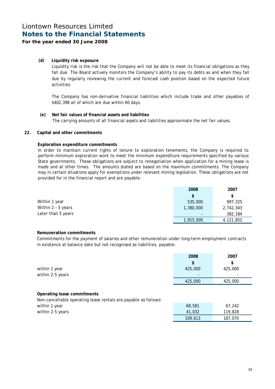## **For the year ended 30 June 2008**

## **(d) Liquidity risk exposure**

Liquidity risk is the risk that the Company will not be able to meet its financial obligations as they fall due. The Board actively monitors the Company's ability to pay its debts as and when they fall due by regularly reviewing the current and forecast cash position based on the expected future activities.

The Company has non-derivative financial liabilities which include trade and other payables of \$402,398 all of which are due within 60 days.

## **(e) Net fair values of financial assets and liabilities**

The carrying amounts of all financial assets and liabilities approximate the net fair values.

## **22. Capital and other commitments**

#### **Exploration expenditure commitments**

In order to maintain current rights of tenure to exploration tenements, the Company is required to perform minimum exploration work to meet the minimum expenditure requirements specified by various State governments. These obligations are subject to renegotiation when application for a mining lease is made and at other times. The amounts stated are based on the maximum commitments. The Company may in certain situations apply for exemptions under relevant mining legislation. These obligations are not provided for in the financial report and are payable:

|                    | 2008                     | 2007      |
|--------------------|--------------------------|-----------|
|                    | \$                       | \$        |
| Within 1 year      | 535,000                  | 997,325   |
| Within 2 - 5 years | 1,380,000                | 2,742,343 |
| Later than 5 years | $\overline{\phantom{a}}$ | 382,184   |
|                    | 1,915,000                | 4,121,852 |

## **Remuneration commitments**

Commitments for the payment of salaries and other remuneration under long-term employment contracts in existence at balance date but not recognised as liabilities, payable:

|                                                                 | 2008    | 2007    |
|-----------------------------------------------------------------|---------|---------|
|                                                                 | \$      | \$      |
| within 1 year                                                   | 425,000 | 425,000 |
| within 2-5 years                                                |         |         |
|                                                                 | 425,000 | 425,000 |
|                                                                 |         |         |
| Operating lease commitments                                     |         |         |
| Non-cancellable operating lease rentals are payable as follows: |         |         |
| within 1 year                                                   | 68,581  | 67,242  |
| within 2-5 years                                                | 41,032  | 119,828 |

109,613 187,070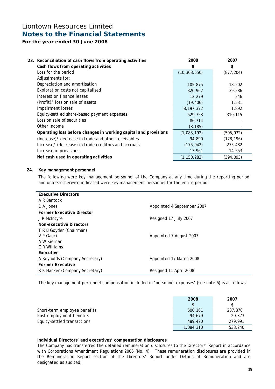## **For the year ended 30 June 2008**

| 23. Reconciliation of cash flows from operating activities      | 2008           | 2007       |
|-----------------------------------------------------------------|----------------|------------|
| Cash flows from operating activities                            | \$             | \$         |
| Loss for the period                                             | (10, 308, 556) | (877, 204) |
| Adjustments for:                                                |                |            |
| Depreciation and amortisation                                   | 105,875        | 18,202     |
| Exploration costs not capitalised                               | 320,962        | 39,286     |
| Interest on finance leases                                      | 12,279         | 246        |
| (Profit)/ loss on sale of assets                                | (19, 406)      | 1,531      |
| Impairment losses                                               | 8, 197, 372    | 1,892      |
| Equity-settled share-based payment expenses                     | 529,753        | 310,115    |
| Loss on sale of securities                                      | 86,714         |            |
| Other income                                                    | (8, 185)       |            |
| Operating loss before changes in working capital and provisions | (1,083,192)    | (505,932)  |
| (Increase)/ decrease in trade and other receivables             | 94,890         | (178, 196) |
| Increase/ (decrease) in trade creditors and accruals            | (175, 942)     | 275,482    |
| Increase in provisions                                          | 13,961         | 14,553     |
| Net cash used in operating activities                           | (1, 150, 283)  | (394,093)  |

## **24. Key management personnel**

The following were key management personnel of the Company at any time during the reporting period and unless otherwise indicated were key management personnel for the entire period:

| <b>Executive Directors</b>     |                            |
|--------------------------------|----------------------------|
| A R Bantock                    |                            |
| D A Jones                      | Appointed 4 September 2007 |
| Former Executive Director      |                            |
| J R McIntyre                   | Resigned 17 July 2007      |
| Non-executive Directors        |                            |
| T R B Goyder (Chairman)        |                            |
| V P Gauci                      | Appointed 7 August 2007    |
| A W Kiernan                    |                            |
| C R Williams                   |                            |
| Executive                      |                            |
| A Reynolds (Company Secretary) | Appointed 17 March 2008    |
| <b>Former Executive</b>        |                            |
| R K Hacker (Company Secretary) | Resigned 11 April 2008     |

The key management personnel compensation included in 'personnel expenses' (see note 6) is as follows:

|                              | 2008      | 2007    |
|------------------------------|-----------|---------|
|                              | \$.       | \$      |
| Short-term employee benefits | 500,161   | 237,876 |
| Post-employment benefits     | 94.679    | 20,373  |
| Equity-settled transactions  | 489,470   | 279.991 |
|                              | 1,084,310 | 538,240 |

## **Individual Directors' and executives' compensation disclosures**

The Company has transferred the detailed remuneration disclosures to the Directors' Report in accordance with Corporations Amendment Regulations 2006 (No. 4). These remuneration disclosures are provided in the Remuneration Report section of the Directors' Report under Details of Remuneration and are designated as audited.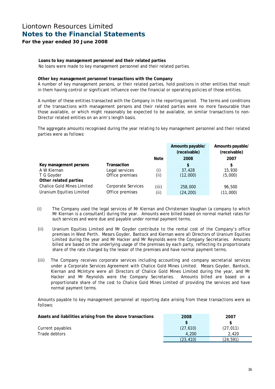## **For the year ended 30 June 2008**

## **Loans to key management personnel and their related parties**

No loans were made to key management personnel and their related parties.

#### **Other key management personnel transactions with the Company**

A number of key management persons, or their related parties, hold positions in other entities that result in them having control or significant influence over the financial or operating policies of those entities.

A number of these entities transacted with the Company in the reporting period. The terms and conditions of the transactions with management persons and their related parties were no more favourable than those available, or which might reasonably be expected to be available, on similar transactions to non-Director related entities on an arm's length basis.

The aggregate amounts recognised during the year relating to key management personnel and their related parties were as follows:

|                                   |                    |       | Amounts payable/ | Amounts payable/ |
|-----------------------------------|--------------------|-------|------------------|------------------|
|                                   |                    |       | (receivable)     | (receivable)     |
|                                   |                    | Note  | 2008             | 2007             |
| Key management persons            | Transaction        |       | \$               | \$               |
| A W Kiernan                       | Legal services     | (i)   | 37,428           | 15,930           |
| T G Goyder                        | Office premises    | (ii)  | (12,000)         | (5,000)          |
| Other related parties             |                    |       |                  |                  |
| <b>Chalice Gold Mines Limited</b> | Corporate Services | (iii) | 258,000          | 96,500           |
| <b>Uranium Equities Limited</b>   | Office premises    | (i)   | (24, 200)        | (11,000)         |

- (i) The Company used the legal services of Mr Kiernan and Christensen Vaughan (a company to which Mr Kiernan is a consultant) during the year. Amounts were billed based on normal market rates for such services and were due and payable under normal payment terms.
- (ii) Uranium Equities Limited and Mr Goyder contribute to the rental cost of the Company's office premises in West Perth. Messrs Goyder, Bantock and Kiernan were all Directors of Uranium Equities Limited during the year and Mr Hacker and Mr Reynolds were the Company Secretaries. Amounts billed are based on the underlying usage of the premises by each party, reflecting its proportionate share of the rate charged by the lessor of the premises and have normal payment terms.
- (iii) The Company receives corporate services including accounting and company secretarial services under a Corporate Services Agreement with Chalice Gold Mines Limited. Messrs Goyder, Bantock, Kiernan and McIntyre were all Directors of Chalice Gold Mines Limited during the year, and Mr Hacker and Mr Reynolds were the Company Secretaries. Amounts billed are based on a proportionate share of the cost to Chalice Gold Mines Limited of providing the services and have normal payment terms.

Amounts payable to key management personnel at reporting date arising from these transactions were as follows:

| Assets and liabilities arising from the above transactions | 2008      | 2007      |
|------------------------------------------------------------|-----------|-----------|
|                                                            |           |           |
| Current payables                                           | (27, 610) | (27, 011) |
| Trade debtors                                              | 4.200     | 2.420     |
|                                                            | (23.410)  | (24,591)  |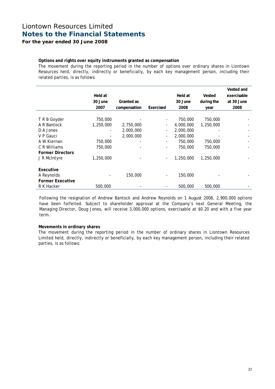## **For the year ended 30 June 2008**

## **Options and rights over equity instruments granted as compensation**

The movement during the reporting period in the number of options over ordinary shares in Liontown Resources held, directly, indirectly or beneficially, by each key management person, including their related parties, is as follows:

|                         |           |              |                          |           |            | Vested and  |
|-------------------------|-----------|--------------|--------------------------|-----------|------------|-------------|
|                         | Held at   |              |                          | Held at   | Vested     | exercisable |
|                         | 30 June   | Granted as   |                          | 30 June   | during the | at 30 June  |
|                         | 2007      | compensation | Exercised                | 2008      | year       | 2008        |
|                         |           |              |                          |           |            |             |
| T R B Goyder            | 750,000   |              | $\overline{\phantom{0}}$ | 750,000   | 750,000    |             |
| A R Bantock             | 1,250,000 | 2,750,000    | -                        | 4,000,000 | 1,250,000  |             |
| D A Jones               |           | 2,000,000    | $\overline{\phantom{0}}$ | 2,000,000 |            |             |
| V P Gauci               |           | 2,000,000    | -                        | 2,000,000 |            |             |
| A W Kiernan             | 750,000   |              |                          | 750,000   | 750,000    |             |
| C R Williams            | 750,000   |              | -                        | 750,000   | 750,000    |             |
| <b>Former Directors</b> |           |              |                          |           |            |             |
| J R McIntyre            | 1,250,000 |              | -                        | 1,250,000 | 1,250,000  |             |
|                         |           |              |                          |           |            |             |
| Executive               |           |              |                          |           |            |             |
| A Reynolds              |           | 150,000      | -                        | 150,000   |            |             |
| <b>Former Executive</b> |           |              |                          |           |            |             |
| R K Hacker              | 500,000   |              |                          | 500,000   | 500,000    |             |

Following the resignation of Andrew Bantock and Andrew Reynolds on 1 August 2008, 2,900,000 options have been forfeited. Subject to shareholder approval at the Company's next General Meeting, the Managing Director, Doug Jones, will receive 3,000,000 options, exercisable at \$0.20 and with a five year term.

## **Movements in ordinary shares**

The movement during the reporting period in the number of ordinary shares in Liontown Resources Limited held, directly, indirectly or beneficially, by each key management person, including their related parties, is as follows: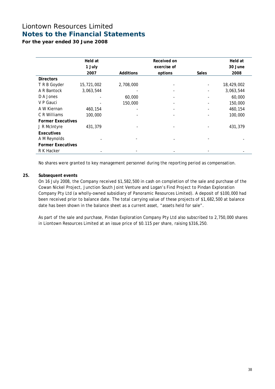**For the year ended 30 June 2008** 

|                          | Held at    |                          | Received on |              | Held at    |
|--------------------------|------------|--------------------------|-------------|--------------|------------|
|                          | 1 July     |                          | exercise of |              | 30 June    |
|                          | 2007       | <b>Additions</b>         | options     | <b>Sales</b> | 2008       |
| <b>Directors</b>         |            |                          |             |              |            |
| T R B Goyder             | 15,721,002 | 2,708,000                |             |              | 18,429,002 |
| A R Bantock              | 3,063,544  |                          |             |              | 3,063,544  |
| D A Jones                |            | 60,000                   |             |              | 60,000     |
| V P Gauci                |            | 150,000                  |             |              | 150,000    |
| A W Kiernan              | 460,154    | $\overline{\phantom{0}}$ |             |              | 460,154    |
| C R Williams             | 100,000    |                          |             |              | 100,000    |
| <b>Former Executives</b> |            |                          |             |              |            |
| J R McIntyre             | 431,379    |                          |             |              | 431,379    |
| Executives               |            |                          |             |              |            |
| A M Reynolds             |            |                          |             |              |            |
| <b>Former Executives</b> |            |                          |             |              |            |
| R K Hacker               |            |                          |             |              |            |

No shares were granted to key management personnel during the reporting period as compensation.

## **25. Subsequent events**

On 16 July 2008, the Company received \$1,582,500 in cash on completion of the sale and purchase of the Cowan Nickel Project, Junction South Joint Venture and Logan's Find Project to Pindan Exploration Company Pty Ltd (a wholly-owned subsidiary of Panoramic Resources Limited). A deposit of \$100,000 had been received prior to balance date. The total carrying value of these projects of \$1,682,500 at balance date has been shown in the balance sheet as a current asset, "assets held for sale".

As part of the sale and purchase, Pindan Exploration Company Pty Ltd also subscribed to 2,750,000 shares in Liontown Resources Limited at an issue price of \$0.115 per share, raising \$316,250.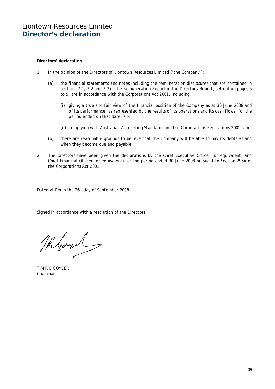#### **Directors' declaration**

- 1 In the opinion of the Directors of Liontown Resources Limited ('the Company'):
	- (a) the financial statements and notes including the remuneration disclosures that are contained in sections 7.1, 7.2 and 7.3 of the Remuneration Report in the Directors' Report, set out on pages 5 to 9, are in accordance with the Corporations Act 2001, including:
		- (i) giving a true and fair view of the financial position of the Company as at 30 June 2008 and of its performance, as represented by the results of its operations and its cash flows, for the period ended on that date; and
		- (ii) complying with Australian Accounting Standards and the Corporations Regulations 2001; and
	- (b) there are reasonable grounds to believe that the Company will be able to pay its debts as and when they become due and payable.
- 2 The Directors have been given the declarations by the Chief Executive Officer (or equivalent) and Chief Financial Officer (or equivalent) for the period ended 30 June 2008 pursuant to Section 295A of the Corporations Act 2001.

Dated at Perth the 26<sup>th</sup> day of September 2008

Signed in accordance with a resolution of the Directors:

Mloyd

TIM R B GOYDER Chairman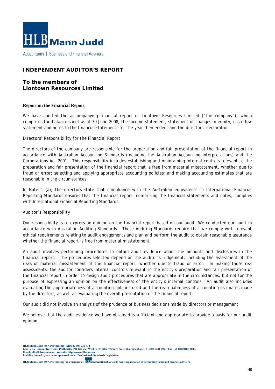

Accountants | Business and Financial Advisers

## **INDEPENDENT AUDITOR'S REPORT**

## **To the members of Liontown Resources Limited**

## **Report on the Financial Report**

We have audited the accompanying financial report of Liontown Resources Limited ("the company"), which comprises the balance sheet as at 30 June 2008, the income statement, statement of changes in equity, cash flow statement and notes to the financial statements for the year then ended, and the directors' declaration.

## *Directors' Responsibility for the Financial Report*

The directors of the company are responsible for the preparation and fair presentation of the financial report in accordance with Australian Accounting Standards (including the Australian Accounting Interpretations) and the Corporations Act 2001. This responsibility includes establishing and maintaining internal controls relevant to the preparation and fair presentation of the financial report that is free from material misstatement, whether due to fraud or error; selecting and applying appropriate accounting policies; and making accounting estimates that are reasonable in the circumstances.

In Note 1 (a), the directors state that compliance with the Australian equivalents to International Financial Reporting Standards ensures that the financial report, comprising the financial statements and notes, complies with International Financial Reporting Standards.

## *Auditor's Responsibility*

Our responsibility is to express an opinion on the financial report based on our audit. We conducted our audit in accordance with Australian Auditing Standards. These Auditing Standards require that we comply with relevant ethical requirements relating to audit engagements and plan and perform the audit to obtain reasonable assurance whether the financial report is free from material misstatement.

An audit involves performing procedures to obtain audit evidence about the amounts and disclosures in the financial report. The procedures selected depend on the auditor's judgement, including the assessment of the risks of material misstatement of the financial report, whether due to fraud or error. In making those risk assessments, the auditor considers internal controls relevant to the entity's preparation and fair presentation of the financial report in order to design audit procedures that are appropriate in the circumstances, but not for the purpose of expressing an opinion on the effectiveness of the entity's internal controls. An audit also includes evaluating the appropriateness of accounting policies used and the reasonableness of accounting estimates made by the directors, as well as evaluating the overall presentation of the financial report.

Our audit did not involve an analysis of the prudence of business decisions made by directors or management.

We believe that the audit evidence we have obtained is sufficient and appropriate to provide a basis for our audit opinion.

**HLB Mann Judd (WA Partnership) is a member of <b>HLB** International, a world-wide organisation of accounting firms and business advisers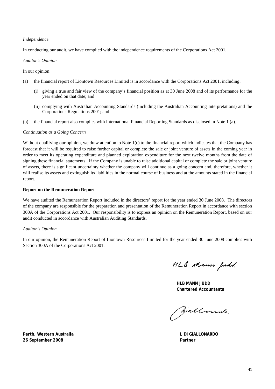#### *Independence*

In conducting our audit, we have complied with the independence requirements of the Corporations Act 2001.

#### *Auditor's Opinion*

In our opinion:

- (a) the financial report of Liontown Resources Limited is in accordance with the Corporations Act 2001, including:
	- (i) giving a true and fair view of the company's financial position as at 30 June 2008 and of its performance for the year ended on that date; and
	- (ii) complying with Australian Accounting Standards (including the Australian Accounting Interpretations) and the Corporations Regulations 2001; and
- (b) the financial report also complies with International Financial Reporting Standards as disclosed in Note 1 (a).

#### *Continuation as a Going Concern*

Without qualifying our opinion, we draw attention to Note  $1(c)$  to the financial report which indicates that the Company has forecast that it will be required to raise further capital or complete the sale or joint venture of assets in the coming year in order to meet its operating expenditure and planned exploration expenditure for the next twelve months from the date of signing these financial statements. If the Company is unable to raise additional capital or complete the sale or joint venture of assets, there is significant uncertainty whether the company will continue as a going concern and, therefore, whether it will realise its assets and extinguish its liabilities in the normal course of business and at the amounts stated in the financial report.

#### **Report on the Remuneration Report**

We have audited the Remuneration Report included in the directors' report for the year ended 30 June 2008. The directors of the company are responsible for the preparation and presentation of the Remuneration Report in accordance with section 300A of the Corporations Act 2001. Our responsibility is to express an opinion on the Remuneration Report, based on our audit conducted in accordance with Australian Auditing Standards.

#### *Auditor's Opinion*

In our opinion, the Remuneration Report of Liontown Resources Limited for the year ended 30 June 2008 complies with Section 300A of the Corporations Act 2001.

HLB Mann Judd

**HLB MANN JUDD Chartered Accountants** 

Siallounes

**Perth, Western Australia** L DI GIALLONARDO **L DI GIALLONARDO 26 September 2008 Partner**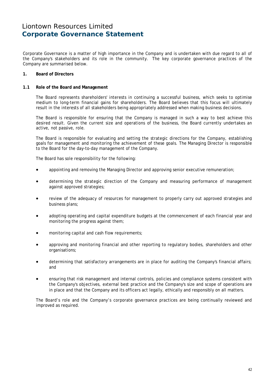Corporate Governance is a matter of high importance in the Company and is undertaken with due regard to all of the Company's stakeholders and its role in the community. The key corporate governance practices of the Company are summarised below.

## **1. Board of Directors**

## **1.1 Role of the Board and Management**

 The Board represents shareholders' interests in continuing a successful business, which seeks to optimise medium to long-term financial gains for shareholders. The Board believes that this focus will ultimately result in the interests of all stakeholders being appropriately addressed when making business decisions.

 The Board is responsible for ensuring that the Company is managed in such a way to best achieve this desired result. Given the current size and operations of the business, the Board currently undertakes an active, not passive, role.

 The Board is responsible for evaluating and setting the strategic directions for the Company, establishing goals for management and monitoring the achievement of these goals. The Managing Director is responsible to the Board for the day-to-day management of the Company.

The Board has sole responsibility for the following:

- appointing and removing the Managing Director and approving senior executive remuneration;
- determining the strategic direction of the Company and measuring performance of management against approved strategies;
- review of the adequacy of resources for management to properly carry out approved strategies and business plans;
- adopting operating and capital expenditure budgets at the commencement of each financial year and monitoring the progress against them;
- monitoring capital and cash flow requirements;
- approving and monitoring financial and other reporting to regulatory bodies, shareholders and other organisations;
- determining that satisfactory arrangements are in place for auditing the Company's financial affairs; and
- ensuring that risk management and internal controls, policies and compliance systems consistent with the Company's objectives, external best practice and the Company's size and scope of operations are in place and that the Company and its officers act legally, ethically and responsibly on all matters.

 The Board's role and the Company's corporate governance practices are being continually reviewed and improved as required.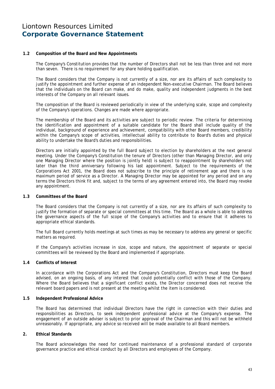## **1.2 Composition of the Board and New Appointments**

The Company's Constitution provides that the number of Directors shall not be less than three and not more than seven. There is no requirement for any share holding qualification.

 The Board considers that the Company is not currently of a size, nor are its affairs of such complexity to justify the appointment and further expense of an independent Non-executive Chairman. The Board believes that the individuals on the Board can make, and do make, quality and independent judgments in the best interests of the Company on all relevant issues.

 The composition of the Board is reviewed periodically in view of the underlying scale, scope and complexity of the Company's operations. Changes are made where appropriate.

 The membership of the Board and its activities are subject to periodic review. The criteria for determining the identification and appointment of a suitable candidate for the Board shall include quality of the individual, background of experience and achievement, compatibility with other Board members, credibility within the Company's scope of activities, intellectual ability to contribute to Board's duties and physical ability to undertake the Board's duties and responsibilities.

 Directors are initially appointed by the full Board subject to election by shareholders at the next general meeting. Under the Company's Constitution the tenure of Directors (other than Managing Director, and only one Managing Director where the position is jointly held) is subject to reappointment by shareholders not later than the third anniversary following his last appointment. Subject to the requirements of the Corporations Act 2001, the Board does not subscribe to the principle of retirement age and there is no maximum period of service as a Director. A Managing Director may be appointed for any period and on any terms the Directors think fit and, subject to the terms of any agreement entered into, the Board may revoke any appointment.

#### **1.3 Committees of the Board**

 The Board considers that the Company is not currently of a size, nor are its affairs of such complexity to justify the formation of separate or special committees at this time. The Board as a whole is able to address the governance aspects of the full scope of the Company's activities and to ensure that it adheres to appropriate ethical standards.

 The full Board currently holds meetings at such times as may be necessary to address any general or specific matters as required.

 If the Company's activities increase in size, scope and nature, the appointment of separate or special committees will be reviewed by the Board and implemented if appropriate.

## **1.4 Conflicts of Interest**

 In accordance with the Corporations Act and the Company's Constitution, Directors must keep the Board advised, on an ongoing basis, of any interest that could potentially conflict with those of the Company. Where the Board believes that a significant conflict exists, the Director concerned does not receive the relevant board papers and is not present at the meeting whilst the item is considered.

#### **1.5 Independent Professional Advice**

 The Board has determined that individual Directors have the right in connection with their duties and responsibilities as Directors, to seek independent professional advice at the Company's expense. The engagement of an outside adviser is subject to prior approval of the Chairman and this will not be withheld unreasonably. If appropriate, any advice so received will be made available to all Board members.

## **2. Ethical Standards**

 The Board acknowledges the need for continued maintenance of a professional standard of corporate governance practice and ethical conduct by all Directors and employees of the Company.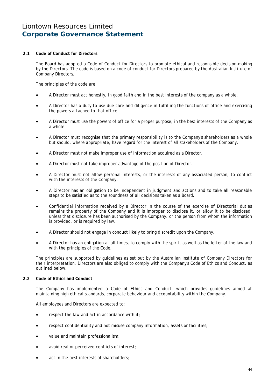## **2.1 Code of Conduct for Directors**

 The Board has adopted a Code of Conduct for Directors to promote ethical and responsible decision-making by the Directors. The code is based on a code of conduct for Directors prepared by the Australian Institute of Company Directors.

The principles of the code are:

- A Director must act honestly, in good faith and in the best interests of the company as a whole.
- A Director has a duty to use due care and diligence in fulfilling the functions of office and exercising the powers attached to that office.
- A Director must use the powers of office for a proper purpose, in the best interests of the Company as a whole.
- A Director must recognise that the primary responsibility is to the Company's shareholders as a whole but should, where appropriate, have regard for the interest of all stakeholders of the Company.
- A Director must not make improper use of information acquired as a Director.
- A Director must not take improper advantage of the position of Director.
- A Director must not allow personal interests, or the interests of any associated person, to conflict with the interests of the Company.
- A Director has an obligation to be independent in judgment and actions and to take all reasonable steps to be satisfied as to the soundness of all decisions taken as a Board.
- Confidential information received by a Director in the course of the exercise of Directorial duties remains the property of the Company and it is improper to disclose it, or allow it to be disclosed, unless that disclosure has been authorised by the Company, or the person from whom the information is provided, or is required by law.
- A Director should not engage in conduct likely to bring discredit upon the Company.
- A Director has an obligation at all times, to comply with the spirit, as well as the letter of the law and with the principles of the Code.

 The principles are supported by guidelines as set out by the Australian Institute of Company Directors for their interpretation. Directors are also obliged to comply with the Company's Code of Ethics and Conduct, as outlined below.

## **2.2 Code of Ethics and Conduct**

 The Company has implemented a Code of Ethics and Conduct, which provides guidelines aimed at maintaining high ethical standards, corporate behaviour and accountability within the Company.

All employees and Directors are expected to:

- respect the law and act in accordance with it;
- respect confidentiality and not misuse company information, assets or facilities;
- value and maintain professionalism;
- avoid real or perceived conflicts of interest;
- act in the best interests of shareholders: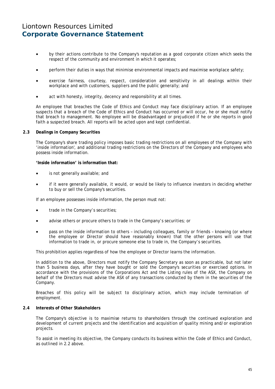- by their actions contribute to the Company's reputation as a good corporate citizen which seeks the respect of the community and environment in which it operates;
- perform their duties in ways that minimise environmental impacts and maximise workplace safety;
- exercise fairness, courtesy, respect, consideration and sensitivity in all dealings within their workplace and with customers, suppliers and the public generally; and
- act with honesty, integrity, decency and responsibility at all times.

 An employee that breaches the Code of Ethics and Conduct may face disciplinary action. If an employee suspects that a breach of the Code of Ethics and Conduct has occurred or will occur, he or she must notify that breach to management. No employee will be disadvantaged or prejudiced if he or she reports in good faith a suspected breach. All reports will be acted upon and kept confidential.

#### **2.3 Dealings in Company Securities**

 The Company's share trading policy imposes basic trading restrictions on all employees of the Company with 'inside information', and additional trading restrictions on the Directors of the Company and employees who possess inside information.

#### **'Inside information' is information that:**

- is not generally available; and
- if it were generally available, it would, or would be likely to influence investors in deciding whether to buy or sell the Company's securities.

If an employee possesses inside information, the person must not:

- trade in the Company's securities:
- advise others or procure others to trade in the Company's securities; or
- pass on the inside information to others including colleagues, family or friends knowing (or where the employee or Director should have reasonably known) that the other persons will use that information to trade in, or procure someone else to trade in, the Company's securities.

This prohibition applies regardless of how the employee or Director learns the information.

 In addition to the above, Directors must notify the Company Secretary as soon as practicable, but not later than 5 business days, after they have bought or sold the Company's securities or exercised options. In accordance with the provisions of the Corporations Act and the Listing rules of the ASX, the Company on behalf of the Directors must advise the ASX of any transactions conducted by them in the securities of the Company.

Breaches of this policy will be subject to disciplinary action, which may include termination of employment.

#### **2.4 Interests of Other Stakeholders**

 The Company's objective is to maximise returns to shareholders through the continued exploration and development of current projects and the identification and acquisition of quality mining and/or exploration projects.

 To assist in meeting its objective, the Company conducts its business within the Code of Ethics and Conduct, as outlined in 2.2 above.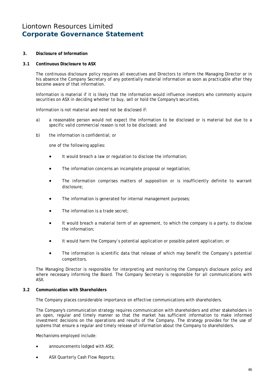**3. Disclosure of Information** 

## **3.1 Continuous Disclosure to ASX**

 The continuous disclosure policy requires all executives and Directors to inform the Managing Director or in his absence the Company Secretary of any potentially material information as soon as practicable after they become aware of that information.

 Information is material if it is likely that the information would influence investors who commonly acquire securities on ASX in deciding whether to buy, sell or hold the Company's securities.

Information is not material and need not be disclosed if:

- a) a reasonable person would not expect the information to be disclosed or is material but due to a specific valid commercial reason is not to be disclosed; and
- b) the information is confidential; or

one of the following applies:

- It would breach a law or regulation to disclose the information;
- The information concerns an incomplete proposal or negotiation:
- The information comprises matters of supposition or is insufficiently definite to warrant disclosure;
- The information is generated for internal management purposes;
- The information is a trade secret:
- It would breach a material term of an agreement, to which the company is a party, to disclose the information;
- It would harm the Company's potential application or possible patent application; or
- The information is scientific data that release of which may benefit the Company's potential competitors.

 The Managing Director is responsible for interpreting and monitoring the Company's disclosure policy and where necessary informing the Board. The Company Secretary is responsible for all communications with ASX.

## **3.2 Communication with Shareholders**

The Company places considerable importance on effective communications with shareholders.

 The Company's communication strategy requires communication with shareholders and other stakeholders in an open, regular and timely manner so that the market has sufficient information to make informed investment decisions on the operations and results of the Company. The strategy provides for the use of systems that ensure a regular and timely release of information about the Company to shareholders.

Mechanisms employed include:

- announcements lodged with ASX;
- ASX Quarterly Cash Flow Reports;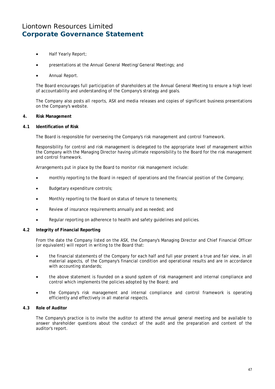- Half Yearly Report;
- presentations at the Annual General Meeting/General Meetings; and
- Annual Report.

 The Board encourages full participation of shareholders at the Annual General Meeting to ensure a high level of accountability and understanding of the Company's strategy and goals.

 The Company also posts all reports, ASX and media releases and copies of significant business presentations on the Company's website.

## **4. Risk Management**

#### **4.1 Identification of Risk**

The Board is responsible for overseeing the Company's risk management and control framework.

 Responsibility for control and risk management is delegated to the appropriate level of management within the Company with the Managing Director having ultimate responsibility to the Board for the risk management and control framework.

Arrangements put in place by the Board to monitor risk management include:

- monthly reporting to the Board in respect of operations and the financial position of the Company;
- Budgetary expenditure controls;
- Monthly reporting to the Board on status of tenure to tenements;
- Review of insurance requirements annually and as needed; and
- Regular reporting on adherence to health and safety guidelines and policies.

## **4.2 Integrity of Financial Reporting**

 From the date the Company listed on the ASX, the Company's Managing Director and Chief Financial Officer (or equivalent) will report in writing to the Board that:

- the financial statements of the Company for each half and full year present a true and fair view, in all material aspects, of the Company's financial condition and operational results and are in accordance with accounting standards;
- the above statement is founded on a sound system of risk management and internal compliance and control which implements the policies adopted by the Board; and
- the Company's risk management and internal compliance and control framework is operating efficiently and effectively in all material respects.

## **4.3 Role of Auditor**

 The Company's practice is to invite the auditor to attend the annual general meeting and be available to answer shareholder questions about the conduct of the audit and the preparation and content of the auditor's report.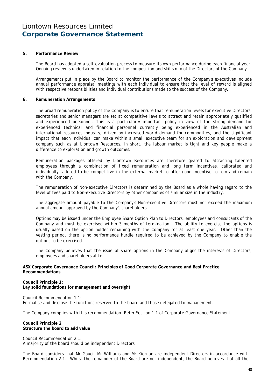#### **5. Performance Review**

 The Board has adopted a self-evaluation process to measure its own performance during each financial year. Ongoing review is undertaken in relation to the composition and skills mix of the Directors of the Company.

 Arrangements put in place by the Board to monitor the performance of the Company's executives include annual performance appraisal meetings with each individual to ensure that the level of reward is aligned with respective responsibilities and individual contributions made to the success of the Company.

#### **6. Remuneration Arrangements**

The broad remuneration policy of the Company is to ensure that remuneration levels for executive Directors, secretaries and senior managers are set at competitive levels to attract and retain appropriately qualified and experienced personnel. This is a particularly important policy in view of the strong demand for experienced technical and financial personnel currently being experienced in the Australian and international resources industry, driven by increased world demand for commodities, and the significant impact that each individual can make within a small executive team for an exploration and development company such as at Liontown Resources. In short, the labour market is tight and key people make a difference to exploration and growth outcomes.

Remuneration packages offered by Liontown Resources are therefore geared to attracting talented employees through a combination of fixed remuneration and long term incentives, calibrated and individually tailored to be competitive in the external market to offer good incentive to join and remain with the Company.

 The remuneration of Non-executive Directors is determined by the Board as a whole having regard to the level of fees paid to Non-executive Directors by other companies of similar size in the industry.

 The aggregate amount payable to the Company's Non-executive Directors must not exceed the maximum annual amount approved by the Company's shareholders.

Options may be issued under the Employee Share Option Plan to Directors, employees and consultants of the Company and must be exercised within 3 months of termination. The ability to exercise the options is usually based on the option holder remaining with the Company for at least one year. Other than the vesting period, there is no performance hurdle required to be achieved by the Company to enable the options to be exercised.

The Company believes that the issue of share options in the Company aligns the interests of Directors, employees and shareholders alike.

#### **ASX Corporate Governance Council: Principles of Good Corporate Governance and Best Practice Recommendations**

#### **Council Principle 1:**

**Lay solid foundations for management and oversight** 

Council Recommendation 1.1: Formalise and disclose the functions reserved to the board and those delegated to management.

The Company complies with this recommendation. Refer Section 1.1 of Corporate Governance Statement.

## **Council Principle 2 Structure the board to add value**

Council Recommendation 2.1: A majority of the board should be independent Directors.

The Board considers that Mr Gauci, Mr Williams and Mr Kiernan are independent Directors in accordance with Recommendation 2.1. Whilst the remainder of the Board are not independent, the Board believes that all the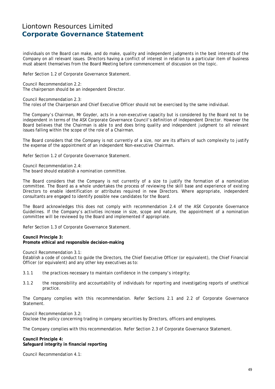individuals on the Board can make, and do make, quality and independent judgments in the best interests of the Company on all relevant issues. Directors having a conflict of interest in relation to a particular item of business must absent themselves from the Board Meeting before commencement of discussion on the topic.

Refer Section 1.2 of Corporate Governance Statement.

Council Recommendation 2.2: The chairperson should be an independent Director.

Council Recommendation 2.3: The roles of the Chairperson and Chief Executive Officer should not be exercised by the same individual.

The Company's Chairman, Mr Goyder, acts in a non-executive capacity but is considered by the Board not to be independent in terms of the ASX Corporate Governance Council's definition of independent Director. However the Board believes that the Chairman is able to and does bring quality and independent judgment to all relevant issues falling within the scope of the role of a Chairman.

The Board considers that the Company is not currently of a size, nor are its affairs of such complexity to justify the expense of the appointment of an independent Non-executive Chairman.

Refer Section 1.2 of Corporate Governance Statement.

Council Recommendation 2.4: The board should establish a nomination committee.

The Board considers that the Company is not currently of a size to justify the formation of a nomination committee. The Board as a whole undertakes the process of reviewing the skill base and experience of existing Directors to enable identification or attributes required in new Directors. Where appropriate, independent consultants are engaged to identify possible new candidates for the Board.

The Board acknowledges this does not comply with recommendation 2.4 of the ASX Corporate Governance Guidelines. If the Company's activities increase in size, scope and nature, the appointment of a nomination committee will be reviewed by the Board and implemented if appropriate.

Refer Section 1.3 of Corporate Governance Statement.

**Council Principle 3: Promote ethical and responsible decision-making** 

Council Recommendation 3.1:

Establish a code of conduct to guide the Directors, the Chief Executive Officer (or equivalent), the Chief Financial Officer (or equivalent) and any other key executives as to:

3.1.1 the practices necessary to maintain confidence in the company's integrity;

3.1.2 the responsibility and accountability of individuals for reporting and investigating reports of unethical practice.

The Company complies with this recommendation. Refer Sections 2.1 and 2.2 of Corporate Governance Statement.

Council Recommendation 3.2:

Disclose the policy concerning trading in company securities by Directors, officers and employees.

The Company complies with this recommendation. Refer Section 2.3 of Corporate Governance Statement.

**Council Principle 4: Safeguard integrity in financial reporting** 

Council Recommendation 4.1: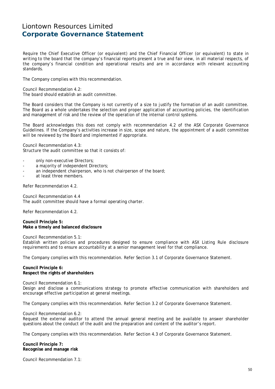Require the Chief Executive Officer (or equivalent) and the Chief Financial Officer (or equivalent) to state in writing to the board that the company's financial reports present a true and fair view, in all material respects, of the company's financial condition and operational results and are in accordance with relevant accounting standards.

The Company complies with this recommendation.

Council Recommendation 4.2: The board should establish an audit committee.

The Board considers that the Company is not currently of a size to justify the formation of an audit committee. The Board as a whole undertakes the selection and proper application of accounting policies, the identification and management of risk and the review of the operation of the internal control systems.

The Board acknowledges this does not comply with recommendation 4.2 of the ASX Corporate Governance Guidelines. If the Company's activities increase in size, scope and nature, the appointment of a audit committee will be reviewed by the Board and implemented if appropriate.

Council Recommendation 4.3: Structure the audit committee so that it consists of:

- only non-executive Directors;
- a majority of independent Directors;
- an independent chairperson, who is not chairperson of the board;
- at least three members.

Refer Recommendation 4.2.

Council Recommendation 4.4 The audit committee should have a formal operating charter.

Refer Recommendation 4.2.

**Council Principle 5: Make a timely and balanced disclosure** 

Council Recommendation 5.1: Establish written policies and procedures designed to ensure compliance with ASX Listing Rule disclosure requirements and to ensure accountability at a senior management level for that compliance.

The Company complies with this recommendation. Refer Section 3.1 of Corporate Governance Statement.

**Council Principle 6: Respect the rights of shareholders** 

Council Recommendation 6.1: Design and disclose a communications strategy to promote effective communication with shareholders and encourage effective participation at general meetings.

The Company complies with this recommendation. Refer Section 3.2 of Corporate Governance Statement.

Council Recommendation 6.2:

Request the external auditor to attend the annual general meeting and be available to answer shareholder questions about the conduct of the audit and the preparation and content of the auditor's report.

The Company complies with this recommendation. Refer Section 4.3 of Corporate Governance Statement.

**Council Principle 7: Recognise and manage risk** 

Council Recommendation 7.1: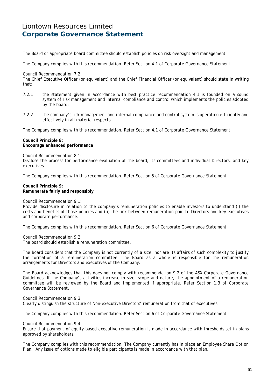The Board or appropriate board committee should establish policies on risk oversight and management.

The Company complies with this recommendation. Refer Section 4.1 of Corporate Governance Statement.

#### Council Recommendation 7.2

The Chief Executive Officer (or equivalent) and the Chief Financial Officer (or equivalent) should state in writing that:

- 7.2.1 the statement given in accordance with best practice recommendation 4.1 is founded on a sound system of risk management and internal compliance and control which implements the policies adopted by the board;
- 7.2.2 the company's risk management and internal compliance and control system is operating efficiently and effectively in all material respects.

The Company complies with this recommendation. Refer Section 4.1 of Corporate Governance Statement.

#### **Council Principle 8: Encourage enhanced performance**

Council Recommendation 8.1:

Disclose the process for performance evaluation of the board, its committees and individual Directors, and key executives.

The Company complies with this recommendation. Refer Section 5 of Corporate Governance Statement.

#### **Council Principle 9: Remunerate fairly and responsibly**

Council Recommendation 9.1:

Provide disclosure in relation to the company's remuneration policies to enable investors to understand (i) the costs and benefits of those policies and (ii) the link between remuneration paid to Directors and key executives and corporate performance.

The Company complies with this recommendation. Refer Section 6 of Corporate Governance Statement.

Council Recommendation 9.2 The board should establish a remuneration committee.

The Board considers that the Company is not currently of a size, nor are its affairs of such complexity to justify the formation of a remuneration committee. The Board as a whole is responsible for the remuneration arrangements for Directors and executives of the Company.

The Board acknowledges that this does not comply with recommendation 9.2 of the ASX Corporate Governance Guidelines. If the Company's activities increase in size, scope and nature, the appointment of a remuneration committee will be reviewed by the Board and implemented if appropriate. Refer Section 1.3 of Corporate Governance Statement.

Council Recommendation 9.3 Clearly distinguish the structure of Non-executive Directors' remuneration from that of executives.

The Company complies with this recommendation. Refer Section 6 of Corporate Governance Statement.

Council Recommendation 9.4

Ensure that payment of equity-based executive remuneration is made in accordance with thresholds set in plans approved by shareholders.

The Company complies with this recommendation. The Company currently has in place an Employee Share Option Plan. Any issue of options made to eligible participants is made in accordance with that plan.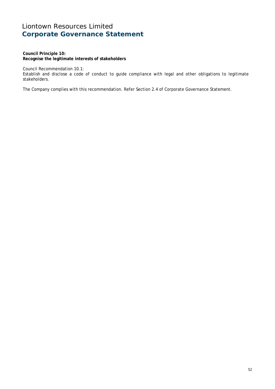**Council Principle 10: Recognise the legitimate interests of stakeholders** 

Council Recommendation 10.1:

Establish and disclose a code of conduct to guide compliance with legal and other obligations to legitimate stakeholders.

The Company complies with this recommendation. Refer Section 2.4 of Corporate Governance Statement.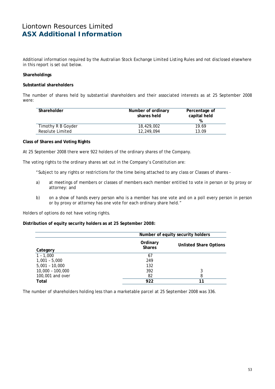# Liontown Resources Limited **ASX Additional Information**

Additional information required by the Australian Stock Exchange Limited Listing Rules and not disclosed elsewhere in this report is set out below.

## **Shareholdings**

## **Substantial shareholders**

The number of shares held by substantial shareholders and their associated interests as at 25 September 2008 were:

| Shareholder        | Number of ordinary<br>shares held | Percentage of<br>capital held<br>% |
|--------------------|-----------------------------------|------------------------------------|
| Timothy R B Goyder | 18,429,002                        | 19.69                              |
| Resolute Limited   | 12,249,094                        | 13.09                              |

#### **Class of Shares and Voting Rights**

At 25 September 2008 there were 922 holders of the ordinary shares of the Company.

The voting rights to the ordinary shares set out in the Company's Constitution are:

"Subject to any rights or restrictions for the time being attached to any class or Classes of shares -

- a) at meetings of members or classes of members each member entitled to vote in person or by proxy or attorney: and
- b) on a show of hands every person who is a member has one vote and on a poll every person in person or by proxy or attorney has one vote for each ordinary share held."

Holders of options do not have voting rights.

#### **Distribution of equity security holders as at 25 September 2008:**

|                    |                           | Number of equity security holders |  |
|--------------------|---------------------------|-----------------------------------|--|
| Category           | Ordinary<br><b>Shares</b> | <b>Unlisted Share Options</b>     |  |
| $1 - 1,000$        | 67                        |                                   |  |
| $1,001 - 5,000$    | 249                       |                                   |  |
| $5,001 - 10,000$   | 132                       |                                   |  |
| $10,000 - 100,000$ | 392                       | 3                                 |  |
| 100,001 and over   | 82                        | 8                                 |  |
| Total              | 922                       | 11                                |  |

The number of shareholders holding less than a marketable parcel at 25 September 2008 was 336.